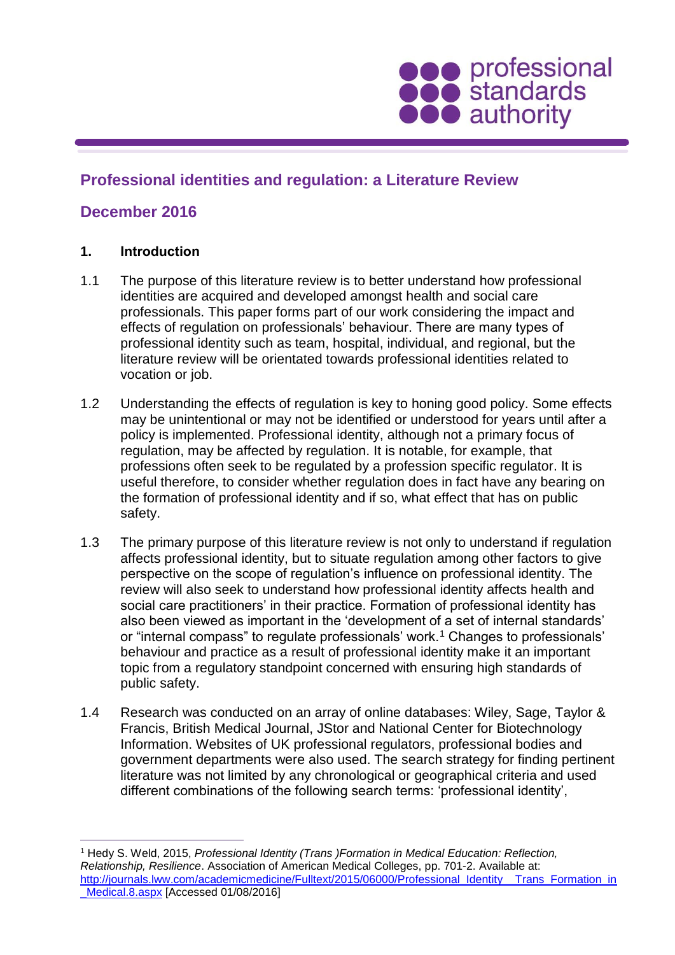

# **Professional identities and regulation: a Literature Review**

# **December 2016**

### **1. Introduction**

- 1.1 The purpose of this literature review is to better understand how professional identities are acquired and developed amongst health and social care professionals. This paper forms part of our work considering the impact and effects of regulation on professionals' behaviour. There are many types of professional identity such as team, hospital, individual, and regional, but the literature review will be orientated towards professional identities related to vocation or job.
- 1.2 Understanding the effects of regulation is key to honing good policy. Some effects may be unintentional or may not be identified or understood for years until after a policy is implemented. Professional identity, although not a primary focus of regulation, may be affected by regulation. It is notable, for example, that professions often seek to be regulated by a profession specific regulator. It is useful therefore, to consider whether regulation does in fact have any bearing on the formation of professional identity and if so, what effect that has on public safety.
- 1.3 The primary purpose of this literature review is not only to understand if regulation affects professional identity, but to situate regulation among other factors to give perspective on the scope of regulation's influence on professional identity. The review will also seek to understand how professional identity affects health and social care practitioners' in their practice. Formation of professional identity has also been viewed as important in the 'development of a set of internal standards' or "internal compass" to regulate professionals' work.<sup>1</sup> Changes to professionals' behaviour and practice as a result of professional identity make it an important topic from a regulatory standpoint concerned with ensuring high standards of public safety.
- 1.4 Research was conducted on an array of online databases: Wiley, Sage, Taylor & Francis, British Medical Journal, JStor and National Center for Biotechnology Information. Websites of UK professional regulators, professional bodies and government departments were also used. The search strategy for finding pertinent literature was not limited by any chronological or geographical criteria and used different combinations of the following search terms: 'professional identity',

<sup>1</sup> Hedy S. Weld, 2015, *Professional Identity (Trans )Formation in Medical Education: Reflection, Relationship, Resilience*. Association of American Medical Colleges, pp. 701-2. Available at: [http://journals.lww.com/academicmedicine/Fulltext/2015/06000/Professional\\_Identity\\_\\_Trans\\_Formation\\_in](http://journals.lww.com/academicmedicine/Fulltext/2015/06000/Professional_Identity__Trans_Formation_in_Medical.8.aspx) Medical.8.aspx [Accessed 01/08/2016]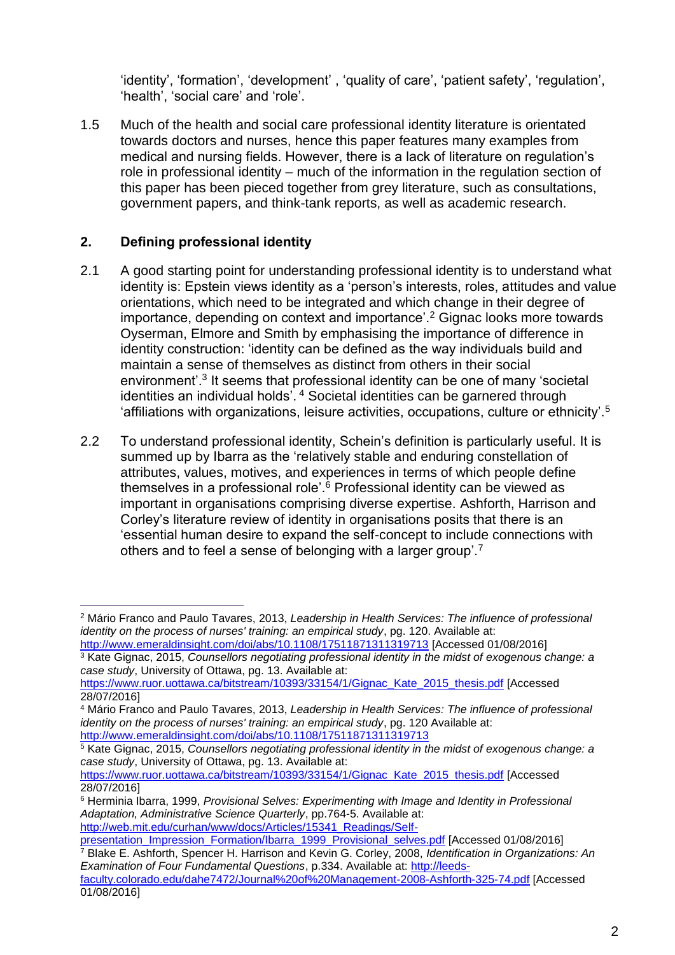'identity', 'formation', 'development' , 'quality of care', 'patient safety', 'regulation', 'health', 'social care' and 'role'.

1.5 Much of the health and social care professional identity literature is orientated towards doctors and nurses, hence this paper features many examples from medical and nursing fields. However, there is a lack of literature on regulation's role in professional identity – much of the information in the regulation section of this paper has been pieced together from grey literature, such as consultations, government papers, and think-tank reports, as well as academic research.

# **2. Defining professional identity**

 $\overline{a}$ 

- 2.1 A good starting point for understanding professional identity is to understand what identity is: Epstein views identity as a 'person's interests, roles, attitudes and value orientations, which need to be integrated and which change in their degree of importance, depending on context and importance'.<sup>2</sup> Gignac looks more towards Oyserman, Elmore and Smith by emphasising the importance of difference in identity construction: 'identity can be defined as the way individuals build and maintain a sense of themselves as distinct from others in their social environment'.<sup>3</sup> It seems that professional identity can be one of many 'societal identities an individual holds'. <sup>4</sup> Societal identities can be garnered through 'affiliations with organizations, leisure activities, occupations, culture or ethnicity'.<sup>5</sup>
- 2.2 To understand professional identity, Schein's definition is particularly useful. It is summed up by Ibarra as the 'relatively stable and enduring constellation of attributes, values, motives, and experiences in terms of which people define themselves in a professional role'.<sup>6</sup> Professional identity can be viewed as important in organisations comprising diverse expertise. Ashforth, Harrison and Corley's literature review of identity in organisations posits that there is an 'essential human desire to expand the self-concept to include connections with others and to feel a sense of belonging with a larger group'.<sup>7</sup>

[http://web.mit.edu/curhan/www/docs/Articles/15341\\_Readings/Self](http://web.mit.edu/curhan/www/docs/Articles/15341_Readings/Self-presentation_Impression_Formation/Ibarra_1999_Provisional_selves.pdf)[presentation\\_Impression\\_Formation/Ibarra\\_1999\\_Provisional\\_selves.pdf](http://web.mit.edu/curhan/www/docs/Articles/15341_Readings/Self-presentation_Impression_Formation/Ibarra_1999_Provisional_selves.pdf) [Accessed 01/08/2016] <sup>7</sup> Blake E. Ashforth, Spencer H. Harrison and Kevin G. Corley, 2008, *Identification in Organizations: An* 

<sup>2</sup> Mário Franco and Paulo Tavares, 2013, *Leadership in Health Services: The influence of professional identity on the process of nurses' training: an empirical study*, pg. 120. Available at: <http://www.emeraldinsight.com/doi/abs/10.1108/17511871311319713> [Accessed 01/08/2016]

<sup>3</sup> Kate Gignac, 2015, *Counsellors negotiating professional identity in the midst of exogenous change: a case study*, University of Ottawa, pg. 13. Available at:

[https://www.ruor.uottawa.ca/bitstream/10393/33154/1/Gignac\\_Kate\\_2015\\_thesis.pdf](https://www.ruor.uottawa.ca/bitstream/10393/33154/1/Gignac_Kate_2015_thesis.pdf) [Accessed 28/07/2016]

<sup>4</sup> Mário Franco and Paulo Tavares, 2013, *Leadership in Health Services: The influence of professional identity on the process of nurses' training: an empirical study*, pg. 120 Available at: <http://www.emeraldinsight.com/doi/abs/10.1108/17511871311319713>

<sup>5</sup> Kate Gignac, 2015, *Counsellors negotiating professional identity in the midst of exogenous change: a case study*, University of Ottawa, pg. 13. Available at:

[https://www.ruor.uottawa.ca/bitstream/10393/33154/1/Gignac\\_Kate\\_2015\\_thesis.pdf](https://www.ruor.uottawa.ca/bitstream/10393/33154/1/Gignac_Kate_2015_thesis.pdf) [Accessed 28/07/2016]

<sup>6</sup> Herminia Ibarra, 1999, *Provisional Selves: Experimenting with Image and Identity in Professional Adaptation, Administrative Science Quarterly*, pp.764-5. Available at:

*Examination of Four Fundamental Questions*, p.334. Available at: [http://leeds](http://leeds-faculty.colorado.edu/dahe7472/Journal%20of%20Management-2008-Ashforth-325-74.pdf)[faculty.colorado.edu/dahe7472/Journal%20of%20Management-2008-Ashforth-325-74.pdf](http://leeds-faculty.colorado.edu/dahe7472/Journal%20of%20Management-2008-Ashforth-325-74.pdf) [Accessed 01/08/2016]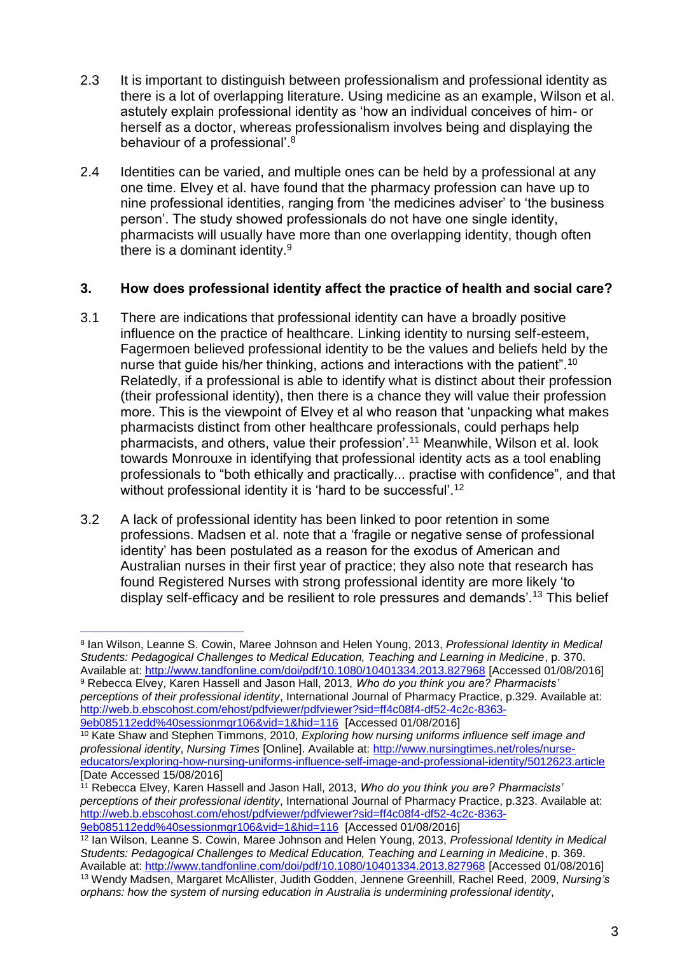- 2.3 It is important to distinguish between professionalism and professional identity as there is a lot of overlapping literature. Using medicine as an example, Wilson et al. astutely explain professional identity as 'how an individual conceives of him- or herself as a doctor, whereas professionalism involves being and displaying the behaviour of a professional'.<sup>8</sup>
- 2.4 Identities can be varied, and multiple ones can be held by a professional at any one time. Elvey et al. have found that the pharmacy profession can have up to nine professional identities, ranging from 'the medicines adviser' to 'the business person'. The study showed professionals do not have one single identity, pharmacists will usually have more than one overlapping identity, though often there is a dominant identity.<sup>9</sup>

### **3. How does professional identity affect the practice of health and social care?**

- 3.1 There are indications that professional identity can have a broadly positive influence on the practice of healthcare. Linking identity to nursing self-esteem, Fagermoen believed professional identity to be the values and beliefs held by the nurse that guide his/her thinking, actions and interactions with the patient".<sup>10</sup> Relatedly, if a professional is able to identify what is distinct about their profession (their professional identity), then there is a chance they will value their profession more. This is the viewpoint of Elvey et al who reason that 'unpacking what makes pharmacists distinct from other healthcare professionals, could perhaps help pharmacists, and others, value their profession'.<sup>11</sup> Meanwhile, Wilson et al. look towards Monrouxe in identifying that professional identity acts as a tool enabling professionals to "both ethically and practically... practise with confidence", and that without professional identity it is 'hard to be successful'.<sup>12</sup>
- 3.2 A lack of professional identity has been linked to poor retention in some professions. Madsen et al. note that a 'fragile or negative sense of professional identity' has been postulated as a reason for the exodus of American and Australian nurses in their first year of practice; they also note that research has found Registered Nurses with strong professional identity are more likely 'to display self-efficacy and be resilient to role pressures and demands'.<sup>13</sup> This belief

<sup>8</sup> Ian Wilson, Leanne S. Cowin, Maree Johnson and Helen Young, 2013, *Professional Identity in Medical Students: Pedagogical Challenges to Medical Education, Teaching and Learning in Medicine*, p. 370. Available at:<http://www.tandfonline.com/doi/pdf/10.1080/10401334.2013.827968> [Accessed 01/08/2016] <sup>9</sup> Rebecca Elvey, Karen Hassell and Jason Hall, 2013, *Who do you think you are? Pharmacists' perceptions of their professional identity*, International Journal of Pharmacy Practice, p.329. Available at: [http://web.b.ebscohost.com/ehost/pdfviewer/pdfviewer?sid=ff4c08f4-df52-4c2c-8363-](http://web.b.ebscohost.com/ehost/pdfviewer/pdfviewer?sid=ff4c08f4-df52-4c2c-8363-9eb085112edd%40sessionmgr106&vid=1&hid=116)

[<sup>9</sup>eb085112edd%40sessionmgr106&vid=1&hid=116](http://web.b.ebscohost.com/ehost/pdfviewer/pdfviewer?sid=ff4c08f4-df52-4c2c-8363-9eb085112edd%40sessionmgr106&vid=1&hid=116) [Accessed 01/08/2016]

<sup>10</sup> Kate Shaw and Stephen Timmons, 2010, *Exploring how nursing uniforms influence self image and professional identity*, *Nursing Times* [Online]. Available at: [http://www.nursingtimes.net/roles/nurse](http://www.nursingtimes.net/roles/nurse-educators/exploring-how-nursing-uniforms-influence-self-image-and-professional-identity/5012623.article)[educators/exploring-how-nursing-uniforms-influence-self-image-and-professional-identity/5012623.article](http://www.nursingtimes.net/roles/nurse-educators/exploring-how-nursing-uniforms-influence-self-image-and-professional-identity/5012623.article) [Date Accessed 15/08/2016]

<sup>11</sup> Rebecca Elvey, Karen Hassell and Jason Hall, 2013, *Who do you think you are? Pharmacists' perceptions of their professional identity*, International Journal of Pharmacy Practice, p.323. Available at: [http://web.b.ebscohost.com/ehost/pdfviewer/pdfviewer?sid=ff4c08f4-df52-4c2c-8363-](http://web.b.ebscohost.com/ehost/pdfviewer/pdfviewer?sid=ff4c08f4-df52-4c2c-8363-9eb085112edd%40sessionmgr106&vid=1&hid=116) [9eb085112edd%40sessionmgr106&vid=1&hid=116](http://web.b.ebscohost.com/ehost/pdfviewer/pdfviewer?sid=ff4c08f4-df52-4c2c-8363-9eb085112edd%40sessionmgr106&vid=1&hid=116) [Accessed 01/08/2016]

<sup>12</sup> Ian Wilson, Leanne S. Cowin, Maree Johnson and Helen Young, 2013, *Professional Identity in Medical Students: Pedagogical Challenges to Medical Education, Teaching and Learning in Medicine*, p. 369. Available at:<http://www.tandfonline.com/doi/pdf/10.1080/10401334.2013.827968> [Accessed 01/08/2016] <sup>13</sup> Wendy Madsen, Margaret McAllister, Judith Godden, Jennene Greenhill, Rachel Reed, 2009, *Nursing's orphans: how the system of nursing education in Australia is undermining professional identity*,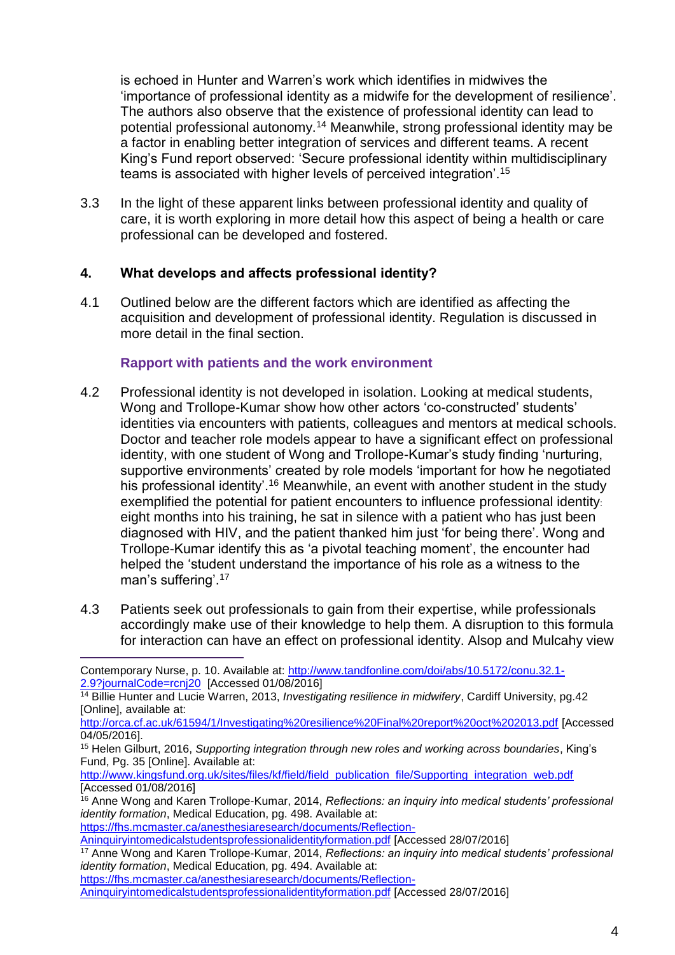is echoed in Hunter and Warren's work which identifies in midwives the 'importance of professional identity as a midwife for the development of resilience'. The authors also observe that the existence of professional identity can lead to potential professional autonomy.<sup>14</sup> Meanwhile, strong professional identity may be a factor in enabling better integration of services and different teams. A recent King's Fund report observed: 'Secure professional identity within multidisciplinary teams is associated with higher levels of perceived integration'.<sup>15</sup>

3.3 In the light of these apparent links between professional identity and quality of care, it is worth exploring in more detail how this aspect of being a health or care professional can be developed and fostered.

### **4. What develops and affects professional identity?**

4.1 Outlined below are the different factors which are identified as affecting the acquisition and development of professional identity. Regulation is discussed in more detail in the final section.

### **Rapport with patients and the work environment**

- 4.2 Professional identity is not developed in isolation. Looking at medical students, Wong and Trollope-Kumar show how other actors 'co-constructed' students' identities via encounters with patients, colleagues and mentors at medical schools. Doctor and teacher role models appear to have a significant effect on professional identity, with one student of Wong and Trollope-Kumar's study finding 'nurturing, supportive environments' created by role models 'important for how he negotiated his professional identity<sup>'.16</sup> Meanwhile, an event with another student in the study exemplified the potential for patient encounters to influence professional identity: eight months into his training, he sat in silence with a patient who has just been diagnosed with HIV, and the patient thanked him just 'for being there'. Wong and Trollope-Kumar identify this as 'a pivotal teaching moment', the encounter had helped the 'student understand the importance of his role as a witness to the man's suffering'.<sup>17</sup>
- 4.3 Patients seek out professionals to gain from their expertise, while professionals accordingly make use of their knowledge to help them. A disruption to this formula for interaction can have an effect on professional identity. Alsop and Mulcahy view

[https://fhs.mcmaster.ca/anesthesiaresearch/documents/Reflection-](https://fhs.mcmaster.ca/anesthesiaresearch/documents/Reflection-Aninquiryintomedicalstudentsprofessionalidentityformation.pdf)

 $\overline{a}$ Contemporary Nurse, p. 10. Available at: [http://www.tandfonline.com/doi/abs/10.5172/conu.32.1-](http://www.tandfonline.com/doi/abs/10.5172/conu.32.1-2.9?journalCode=rcnj20) [2.9?journalCode=rcnj20](http://www.tandfonline.com/doi/abs/10.5172/conu.32.1-2.9?journalCode=rcnj20) [Accessed 01/08/2016]

<sup>14</sup> Billie Hunter and Lucie Warren, 2013, *Investigating resilience in midwifery*, Cardiff University, pg.42 [Online], available at:

<http://orca.cf.ac.uk/61594/1/Investigating%20resilience%20Final%20report%20oct%202013.pdf> [Accessed 04/05/2016].

<sup>15</sup> Helen Gilburt, 2016, *Supporting integration through new roles and working across boundaries*, King's Fund, Pg. 35 [Online]. Available at:

[http://www.kingsfund.org.uk/sites/files/kf/field/field\\_publication\\_file/Supporting\\_integration\\_web.pdf](http://www.kingsfund.org.uk/sites/files/kf/field/field_publication_file/Supporting_integration_web.pdf) [Accessed 01/08/2016]

<sup>&</sup>lt;sup>16</sup> Anne Wong and Karen Trollope-Kumar, 2014, *Reflections: an inquiry into medical students' professional identity formation*, Medical Education, pg. 498. Available at:

[Aninquiryintomedicalstudentsprofessionalidentityformation.pdf](https://fhs.mcmaster.ca/anesthesiaresearch/documents/Reflection-Aninquiryintomedicalstudentsprofessionalidentityformation.pdf) [Accessed 28/07/2016]

<sup>17</sup> Anne Wong and Karen Trollope-Kumar, 2014, *Reflections: an inquiry into medical students' professional identity formation*, Medical Education, pg. 494. Available at:

[https://fhs.mcmaster.ca/anesthesiaresearch/documents/Reflection-](https://fhs.mcmaster.ca/anesthesiaresearch/documents/Reflection-Aninquiryintomedicalstudentsprofessionalidentityformation.pdf)

[Aninquiryintomedicalstudentsprofessionalidentityformation.pdf](https://fhs.mcmaster.ca/anesthesiaresearch/documents/Reflection-Aninquiryintomedicalstudentsprofessionalidentityformation.pdf) [Accessed 28/07/2016]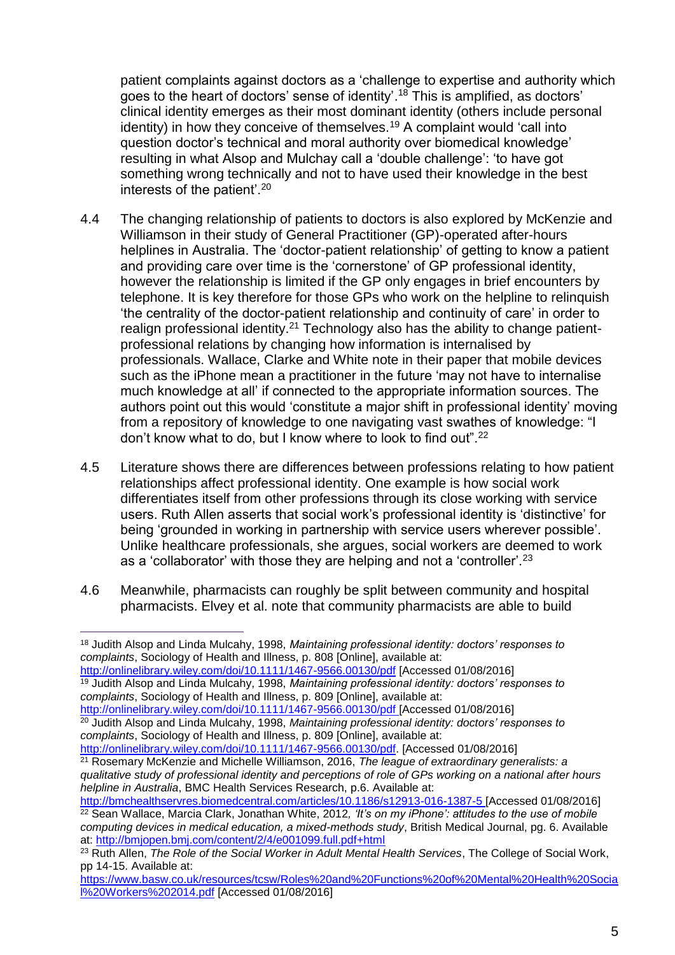patient complaints against doctors as a 'challenge to expertise and authority which goes to the heart of doctors' sense of identity'. <sup>18</sup> This is amplified, as doctors' clinical identity emerges as their most dominant identity (others include personal identity) in how they conceive of themselves.<sup>19</sup> A complaint would 'call into question doctor's technical and moral authority over biomedical knowledge' resulting in what Alsop and Mulchay call a 'double challenge': 'to have got something wrong technically and not to have used their knowledge in the best interests of the patient'.<sup>20</sup>

- 4.4 The changing relationship of patients to doctors is also explored by McKenzie and Williamson in their study of General Practitioner (GP)-operated after-hours helplines in Australia. The 'doctor-patient relationship' of getting to know a patient and providing care over time is the 'cornerstone' of GP professional identity, however the relationship is limited if the GP only engages in brief encounters by telephone. It is key therefore for those GPs who work on the helpline to relinquish 'the centrality of the doctor-patient relationship and continuity of care' in order to realign professional identity.<sup>21</sup> Technology also has the ability to change patientprofessional relations by changing how information is internalised by professionals. Wallace, Clarke and White note in their paper that mobile devices such as the iPhone mean a practitioner in the future 'may not have to internalise much knowledge at all' if connected to the appropriate information sources. The authors point out this would 'constitute a major shift in professional identity' moving from a repository of knowledge to one navigating vast swathes of knowledge: "I don't know what to do, but I know where to look to find out".<sup>22</sup>
- 4.5 Literature shows there are differences between professions relating to how patient relationships affect professional identity. One example is how social work differentiates itself from other professions through its close working with service users. Ruth Allen asserts that social work's professional identity is 'distinctive' for being 'grounded in working in partnership with service users wherever possible'. Unlike healthcare professionals, she argues, social workers are deemed to work as a 'collaborator' with those they are helping and not a 'controller'.<sup>23</sup>
- 4.6 Meanwhile, pharmacists can roughly be split between community and hospital pharmacists. Elvey et al. note that community pharmacists are able to build

<http://onlinelibrary.wiley.com/doi/10.1111/1467-9566.00130/pdf> [Accessed 01/08/2016] <sup>19</sup> Judith Alsop and Linda Mulcahy, 1998, *Maintaining professional identity: doctors' responses to complaints*, Sociology of Health and Illness, p. 809 [Online], available at: <http://onlinelibrary.wiley.com/doi/10.1111/1467-9566.00130/pdf> [Accessed 01/08/2016]

<sup>20</sup> Judith Alsop and Linda Mulcahy, 1998, *Maintaining professional identity: doctors' responses to complaints*, Sociology of Health and Illness, p. 809 [Online], available at: [http://onlinelibrary.wiley.com/doi/10.1111/1467-9566.00130/pdf.](http://onlinelibrary.wiley.com/doi/10.1111/1467-9566.00130/pdf) [Accessed 01/08/2016]

<sup>21</sup> Rosemary McKenzie and Michelle Williamson, 2016, *The league of extraordinary generalists: a qualitative study of professional identity and perceptions of role of GPs working on a national after hours helpline in Australia*, BMC Health Services Research, p.6. Available at:

<http://bmchealthservres.biomedcentral.com/articles/10.1186/s12913-016-1387-5> [Accessed 01/08/2016] <sup>22</sup> Sean Wallace, Marcia Clark, Jonathan White, 2012, 'It's on my iPhone': attitudes to the use of mobile *computing devices in medical education, a mixed-methods study*, British Medical Journal, pg. 6. Available at:<http://bmjopen.bmj.com/content/2/4/e001099.full.pdf+html>

[https://www.basw.co.uk/resources/tcsw/Roles%20and%20Functions%20of%20Mental%20Health%20Socia](https://www.basw.co.uk/resources/tcsw/Roles%20and%20Functions%20of%20Mental%20Health%20Social%20Workers%202014.pdf) [l%20Workers%202014.pdf](https://www.basw.co.uk/resources/tcsw/Roles%20and%20Functions%20of%20Mental%20Health%20Social%20Workers%202014.pdf) [Accessed 01/08/2016]

 $\overline{a}$ <sup>18</sup> Judith Alsop and Linda Mulcahy, 1998, *Maintaining professional identity: doctors' responses to complaints*, Sociology of Health and Illness, p. 808 [Online], available at:

<sup>23</sup> Ruth Allen, *The Role of the Social Worker in Adult Mental Health Services*, The College of Social Work, pp 14-15. Available at: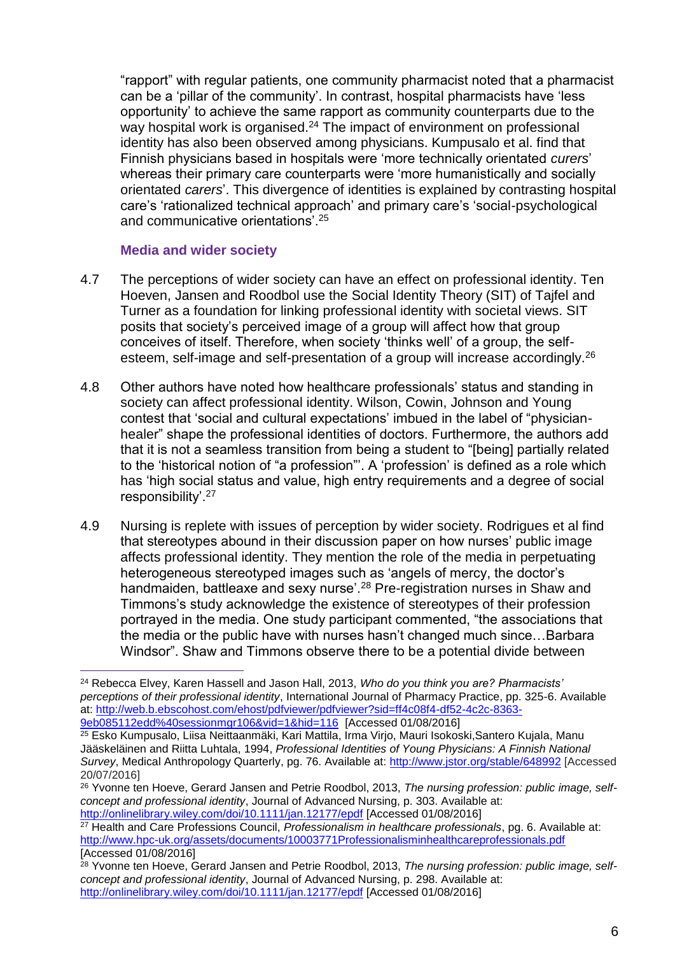"rapport" with regular patients, one community pharmacist noted that a pharmacist can be a 'pillar of the community'. In contrast, hospital pharmacists have 'less opportunity' to achieve the same rapport as community counterparts due to the way hospital work is organised.<sup>24</sup> The impact of environment on professional identity has also been observed among physicians. Kumpusalo et al. find that Finnish physicians based in hospitals were 'more technically orientated *curers*' whereas their primary care counterparts were 'more humanistically and socially orientated *carers*'. This divergence of identities is explained by contrasting hospital care's 'rationalized technical approach' and primary care's 'social-psychological and communicative orientations'.<sup>25</sup>

### **Media and wider society**

- 4.7 The perceptions of wider society can have an effect on professional identity. Ten Hoeven, Jansen and Roodbol use the Social Identity Theory (SIT) of Tajfel and Turner as a foundation for linking professional identity with societal views. SIT posits that society's perceived image of a group will affect how that group conceives of itself. Therefore, when society 'thinks well' of a group, the selfesteem, self-image and self-presentation of a group will increase accordingly.<sup>26</sup>
- 4.8 Other authors have noted how healthcare professionals' status and standing in society can affect professional identity. Wilson, Cowin, Johnson and Young contest that 'social and cultural expectations' imbued in the label of "physicianhealer" shape the professional identities of doctors. Furthermore, the authors add that it is not a seamless transition from being a student to "[being] partially related to the 'historical notion of "a profession"'. A 'profession' is defined as a role which has 'high social status and value, high entry requirements and a degree of social responsibility'.<sup>27</sup>
- 4.9 Nursing is replete with issues of perception by wider society. Rodrigues et al find that stereotypes abound in their discussion paper on how nurses' public image affects professional identity. They mention the role of the media in perpetuating heterogeneous stereotyped images such as 'angels of mercy, the doctor's handmaiden, battleaxe and sexy nurse'.<sup>28</sup> Pre-registration nurses in Shaw and Timmons's study acknowledge the existence of stereotypes of their profession portrayed in the media. One study participant commented, "the associations that the media or the public have with nurses hasn't changed much since…Barbara Windsor". Shaw and Timmons observe there to be a potential divide between

<sup>27</sup> Health and Care Professions Council, *Professionalism in healthcare professionals*, pg. 6. Available at: <http://www.hpc-uk.org/assets/documents/10003771Professionalisminhealthcareprofessionals.pdf> [Accessed 01/08/2016]

 $\overline{a}$ <sup>24</sup> Rebecca Elvey, Karen Hassell and Jason Hall, 2013, *Who do you think you are? Pharmacists' perceptions of their professional identity*, International Journal of Pharmacy Practice, pp. 325-6. Available at: [http://web.b.ebscohost.com/ehost/pdfviewer/pdfviewer?sid=ff4c08f4-df52-4c2c-8363-](http://web.b.ebscohost.com/ehost/pdfviewer/pdfviewer?sid=ff4c08f4-df52-4c2c-8363-9eb085112edd%40sessionmgr106&vid=1&hid=116) [9eb085112edd%40sessionmgr106&vid=1&hid=116](http://web.b.ebscohost.com/ehost/pdfviewer/pdfviewer?sid=ff4c08f4-df52-4c2c-8363-9eb085112edd%40sessionmgr106&vid=1&hid=116) [Accessed 01/08/2016]

<sup>25</sup> Esko Kumpusalo, Liisa Neittaanmäki, Kari Mattila, Irma Virjo, Mauri Isokoski,Santero Kujala, Manu Jääskeläinen and Riitta Luhtala, 1994, *Professional Identities of Young Physicians: A Finnish National Survey*, Medical Anthropology Quarterly, pg. 76. Available at:<http://www.jstor.org/stable/648992> [Accessed 20/07/2016]

<sup>&</sup>lt;sup>26</sup> Yvonne ten Hoeve, Gerard Jansen and Petrie Roodbol, 2013, The nursing profession: public image, self*concept and professional identity*, Journal of Advanced Nursing, p. 303. Available at: <http://onlinelibrary.wiley.com/doi/10.1111/jan.12177/epdf> [Accessed 01/08/2016]

<sup>28</sup> Yvonne ten Hoeve, Gerard Jansen and Petrie Roodbol, 2013, *The nursing profession: public image, selfconcept and professional identity*, Journal of Advanced Nursing, p. 298. Available at: <http://onlinelibrary.wiley.com/doi/10.1111/jan.12177/epdf> [Accessed 01/08/2016]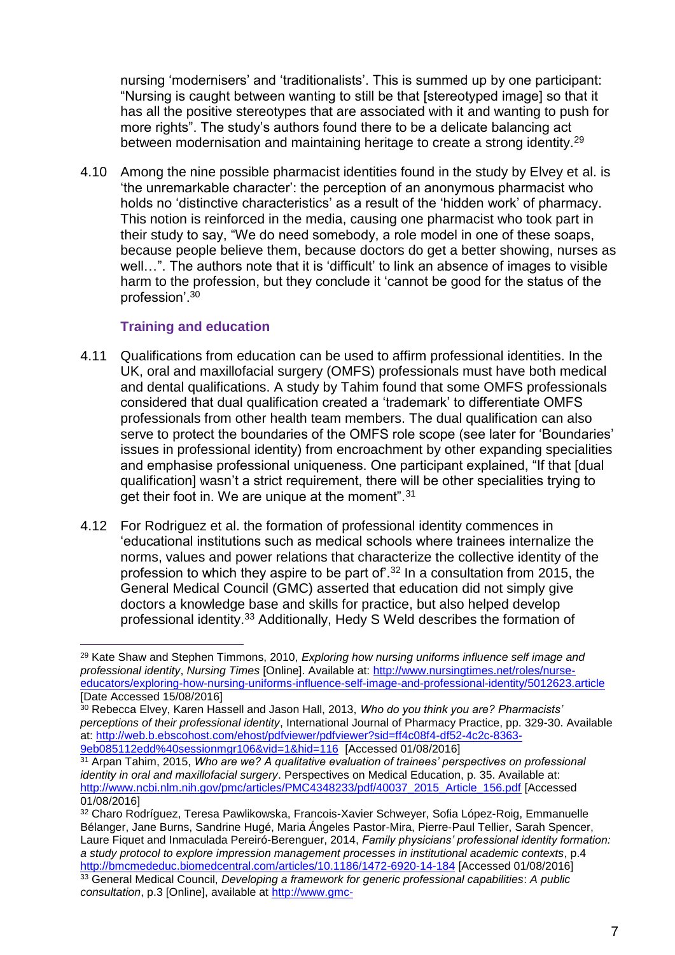nursing 'modernisers' and 'traditionalists'. This is summed up by one participant: "Nursing is caught between wanting to still be that [stereotyped image] so that it has all the positive stereotypes that are associated with it and wanting to push for more rights". The study's authors found there to be a delicate balancing act between modernisation and maintaining heritage to create a strong identity.<sup>29</sup>

4.10 Among the nine possible pharmacist identities found in the study by Elvey et al. is 'the unremarkable character': the perception of an anonymous pharmacist who holds no 'distinctive characteristics' as a result of the 'hidden work' of pharmacy. This notion is reinforced in the media, causing one pharmacist who took part in their study to say, "We do need somebody, a role model in one of these soaps, because people believe them, because doctors do get a better showing, nurses as well...". The authors note that it is 'difficult' to link an absence of images to visible harm to the profession, but they conclude it 'cannot be good for the status of the profession'.<sup>30</sup>

### **Training and education**

- 4.11 Qualifications from education can be used to affirm professional identities. In the UK, oral and maxillofacial surgery (OMFS) professionals must have both medical and dental qualifications. A study by Tahim found that some OMFS professionals considered that dual qualification created a 'trademark' to differentiate OMFS professionals from other health team members. The dual qualification can also serve to protect the boundaries of the OMFS role scope (see later for 'Boundaries' issues in professional identity) from encroachment by other expanding specialities and emphasise professional uniqueness. One participant explained, "If that [dual qualification] wasn't a strict requirement, there will be other specialities trying to get their foot in. We are unique at the moment".<sup>31</sup>
- 4.12 For Rodriguez et al. the formation of professional identity commences in 'educational institutions such as medical schools where trainees internalize the norms, values and power relations that characterize the collective identity of the profession to which they aspire to be part of'.<sup>32</sup> In a consultation from 2015, the General Medical Council (GMC) asserted that education did not simply give doctors a knowledge base and skills for practice, but also helped develop professional identity.<sup>33</sup> Additionally, Hedy S Weld describes the formation of

<sup>29</sup> Kate Shaw and Stephen Timmons, 2010, *Exploring how nursing uniforms influence self image and professional identity*, *Nursing Times* [Online]. Available at: [http://www.nursingtimes.net/roles/nurse](http://www.nursingtimes.net/roles/nurse-educators/exploring-how-nursing-uniforms-influence-self-image-and-professional-identity/5012623.article)[educators/exploring-how-nursing-uniforms-influence-self-image-and-professional-identity/5012623.article](http://www.nursingtimes.net/roles/nurse-educators/exploring-how-nursing-uniforms-influence-self-image-and-professional-identity/5012623.article) [Date Accessed 15/08/2016]

<sup>30</sup> Rebecca Elvey, Karen Hassell and Jason Hall, 2013, *Who do you think you are? Pharmacists' perceptions of their professional identity*, International Journal of Pharmacy Practice, pp. 329-30. Available at: [http://web.b.ebscohost.com/ehost/pdfviewer/pdfviewer?sid=ff4c08f4-df52-4c2c-8363-](http://web.b.ebscohost.com/ehost/pdfviewer/pdfviewer?sid=ff4c08f4-df52-4c2c-8363-9eb085112edd%40sessionmgr106&vid=1&hid=116) [9eb085112edd%40sessionmgr106&vid=1&hid=116](http://web.b.ebscohost.com/ehost/pdfviewer/pdfviewer?sid=ff4c08f4-df52-4c2c-8363-9eb085112edd%40sessionmgr106&vid=1&hid=116) [Accessed 01/08/2016]

<sup>31</sup> Arpan Tahim, 2015, *Who are we? A qualitative evaluation of trainees' perspectives on professional identity in oral and maxillofacial surgery*. Perspectives on Medical Education, p. 35. Available at: [http://www.ncbi.nlm.nih.gov/pmc/articles/PMC4348233/pdf/40037\\_2015\\_Article\\_156.pdf](http://www.ncbi.nlm.nih.gov/pmc/articles/PMC4348233/pdf/40037_2015_Article_156.pdf) [Accessed 01/08/2016]

<sup>32</sup> Charo Rodríguez, Teresa Pawlikowska, Francois-Xavier Schweyer, Sofia López-Roig, Emmanuelle Bélanger, Jane Burns, Sandrine Hugé, Maria Ángeles Pastor-Mira, Pierre-Paul Tellier, Sarah Spencer, Laure Fiquet and Inmaculada Pereiró-Berenguer, 2014, *Family physicians' professional identity formation: a study protocol to explore impression management processes in institutional academic contexts*, p.4 <http://bmcmededuc.biomedcentral.com/articles/10.1186/1472-6920-14-184> [Accessed 01/08/2016] <sup>33</sup> General Medical Council, *Developing a framework for generic professional capabilities*: *A public consultation*, p.3 [Online], available at [http://www.gmc-](http://www.gmc-uk.org/Developing_a_framework_for_generic_professional_capabilities_form_English_writeable_final_distributed.pdf_61568131.pdf)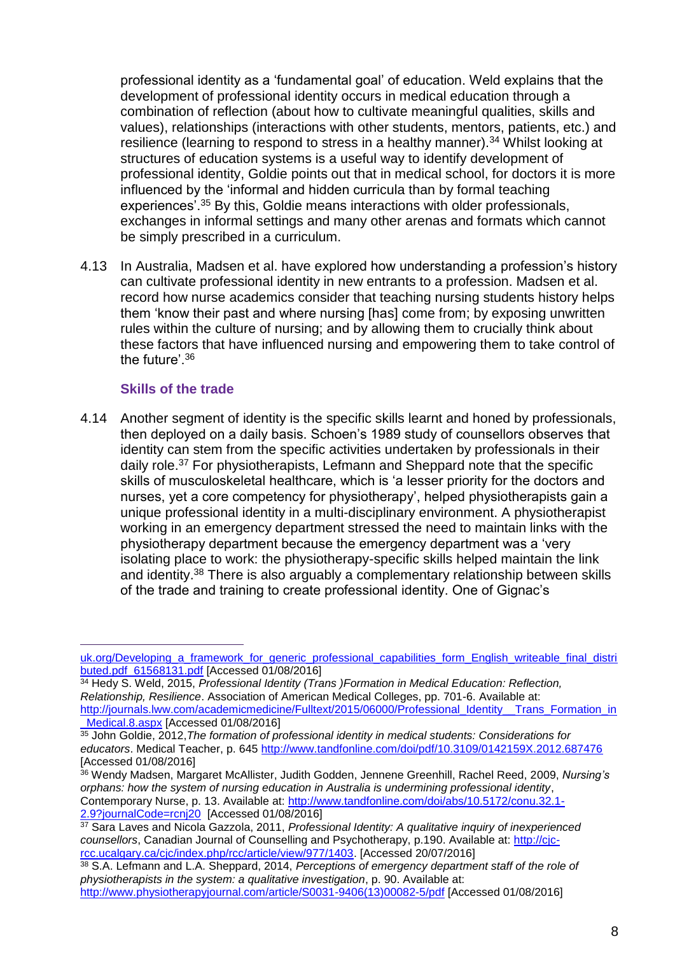professional identity as a 'fundamental goal' of education. Weld explains that the development of professional identity occurs in medical education through a combination of reflection (about how to cultivate meaningful qualities, skills and values), relationships (interactions with other students, mentors, patients, etc.) and resilience (learning to respond to stress in a healthy manner).<sup>34</sup> Whilst looking at structures of education systems is a useful way to identify development of professional identity, Goldie points out that in medical school, for doctors it is more influenced by the 'informal and hidden curricula than by formal teaching experiences'.<sup>35</sup> By this, Goldie means interactions with older professionals, exchanges in informal settings and many other arenas and formats which cannot be simply prescribed in a curriculum.

4.13 In Australia, Madsen et al. have explored how understanding a profession's history can cultivate professional identity in new entrants to a profession. Madsen et al. record how nurse academics consider that teaching nursing students history helps them 'know their past and where nursing [has] come from; by exposing unwritten rules within the culture of nursing; and by allowing them to crucially think about these factors that have influenced nursing and empowering them to take control of the future'.<sup>36</sup>

### **Skills of the trade**

4.14 Another segment of identity is the specific skills learnt and honed by professionals, then deployed on a daily basis. Schoen's 1989 study of counsellors observes that identity can stem from the specific activities undertaken by professionals in their daily role.<sup>37</sup> For physiotherapists, Lefmann and Sheppard note that the specific skills of musculoskeletal healthcare, which is 'a lesser priority for the doctors and nurses, yet a core competency for physiotherapy', helped physiotherapists gain a unique professional identity in a multi-disciplinary environment. A physiotherapist working in an emergency department stressed the need to maintain links with the physiotherapy department because the emergency department was a 'very isolating place to work: the physiotherapy-specific skills helped maintain the link and identity.<sup>38</sup> There is also arguably a complementary relationship between skills of the trade and training to create professional identity. One of Gignac's

[uk.org/Developing\\_a\\_framework\\_for\\_generic\\_professional\\_capabilities\\_form\\_English\\_writeable\\_final\\_distri](http://www.gmc-uk.org/Developing_a_framework_for_generic_professional_capabilities_form_English_writeable_final_distributed.pdf_61568131.pdf) [buted.pdf\\_61568131.pdf](http://www.gmc-uk.org/Developing_a_framework_for_generic_professional_capabilities_form_English_writeable_final_distributed.pdf_61568131.pdf) [Accessed 01/08/2016]

<sup>34</sup> Hedy S. Weld, 2015, *Professional Identity (Trans )Formation in Medical Education: Reflection, Relationship, Resilience*. Association of American Medical Colleges, pp. 701-6. Available at: [http://journals.lww.com/academicmedicine/Fulltext/2015/06000/Professional\\_Identity\\_\\_Trans\\_Formation\\_in](http://journals.lww.com/academicmedicine/Fulltext/2015/06000/Professional_Identity__Trans_Formation_in_Medical.8.aspx)

[\\_Medical.8.aspx](http://journals.lww.com/academicmedicine/Fulltext/2015/06000/Professional_Identity__Trans_Formation_in_Medical.8.aspx) [Accessed 01/08/2016]

<sup>35</sup> John Goldie, 2012,*The formation of professional identity in medical students: Considerations for educators*. Medical Teacher, p. 645<http://www.tandfonline.com/doi/pdf/10.3109/0142159X.2012.687476> [Accessed 01/08/2016]

<sup>36</sup> Wendy Madsen, Margaret McAllister, Judith Godden, Jennene Greenhill, Rachel Reed, 2009, *Nursing's orphans: how the system of nursing education in Australia is undermining professional identity*, Contemporary Nurse, p. 13. Available at: [http://www.tandfonline.com/doi/abs/10.5172/conu.32.1-](http://www.tandfonline.com/doi/abs/10.5172/conu.32.1-2.9?journalCode=rcnj20) [2.9?journalCode=rcnj20](http://www.tandfonline.com/doi/abs/10.5172/conu.32.1-2.9?journalCode=rcnj20) [Accessed 01/08/2016]

<sup>37</sup> Sara Laves and Nicola Gazzola, 2011, *Professional Identity: A qualitative inquiry of inexperienced counsellors*, Canadian Journal of Counselling and Psychotherapy, p.190. Available at: [http://cjc](http://cjc-rcc.ucalgary.ca/cjc/index.php/rcc/article/view/977/1403)[rcc.ucalgary.ca/cjc/index.php/rcc/article/view/977/1403.](http://cjc-rcc.ucalgary.ca/cjc/index.php/rcc/article/view/977/1403) [Accessed 20/07/2016]

<sup>38</sup> S.A. Lefmann and L.A. Sheppard, 2014, *Perceptions of emergency department staff of the role of physiotherapists in the system: a qualitative investigation*, p. 90. Available at: [http://www.physiotherapyjournal.com/article/S0031-9406\(13\)00082-5/pdf](http://www.physiotherapyjournal.com/article/S0031-9406(13)00082-5/pdf) [Accessed 01/08/2016]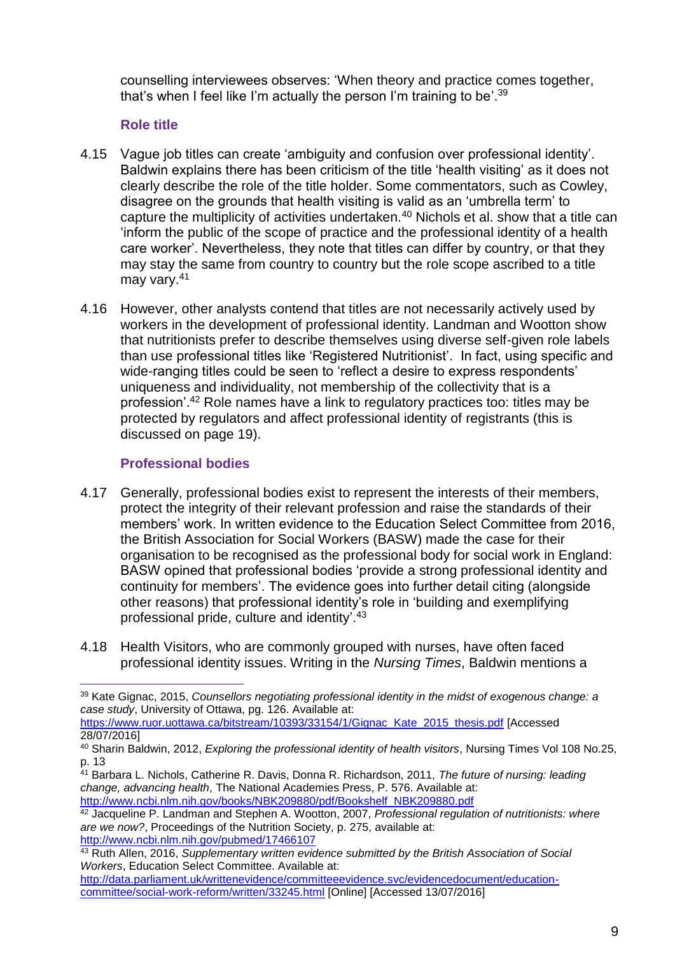counselling interviewees observes: 'When theory and practice comes together, that's when I feel like I'm actually the person I'm training to be'.<sup>39</sup>

### **Role title**

- 4.15 Vague job titles can create 'ambiguity and confusion over professional identity'. Baldwin explains there has been criticism of the title 'health visiting' as it does not clearly describe the role of the title holder. Some commentators, such as Cowley, disagree on the grounds that health visiting is valid as an 'umbrella term' to capture the multiplicity of activities undertaken.<sup>40</sup> Nichols et al. show that a title can 'inform the public of the scope of practice and the professional identity of a health care worker'. Nevertheless, they note that titles can differ by country, or that they may stay the same from country to country but the role scope ascribed to a title may vary.<sup>41</sup>
- 4.16 However, other analysts contend that titles are not necessarily actively used by workers in the development of professional identity. Landman and Wootton show that nutritionists prefer to describe themselves using diverse self-given role labels than use professional titles like 'Registered Nutritionist'. In fact, using specific and wide-ranging titles could be seen to 'reflect a desire to express respondents' uniqueness and individuality, not membership of the collectivity that is a profession'.<sup>42</sup> Role names have a link to regulatory practices too: titles may be protected by regulators and affect professional identity of registrants (this is discussed on page 19).

### **Professional bodies**

 $\overline{a}$ 

- 4.17 Generally, professional bodies exist to represent the interests of their members, protect the integrity of their relevant profession and raise the standards of their members' work. In written evidence to the Education Select Committee from 2016, the British Association for Social Workers (BASW) made the case for their organisation to be recognised as the professional body for social work in England: BASW opined that professional bodies 'provide a strong professional identity and continuity for members'. The evidence goes into further detail citing (alongside other reasons) that professional identity's role in 'building and exemplifying professional pride, culture and identity'.<sup>43</sup>
- 4.18 Health Visitors, who are commonly grouped with nurses, have often faced professional identity issues. Writing in the *Nursing Times*, Baldwin mentions a

[https://www.ruor.uottawa.ca/bitstream/10393/33154/1/Gignac\\_Kate\\_2015\\_thesis.pdf](https://www.ruor.uottawa.ca/bitstream/10393/33154/1/Gignac_Kate_2015_thesis.pdf) [Accessed 28/07/2016]

<sup>41</sup> Barbara L. Nichols, Catherine R. Davis, Donna R. Richardson, 2011, *The future of nursing: leading change, advancing health*, The National Academies Press, P. 576. Available at: [http://www.ncbi.nlm.nih.gov/books/NBK209880/pdf/Bookshelf\\_NBK209880.pdf](http://www.ncbi.nlm.nih.gov/books/NBK209880/pdf/Bookshelf_NBK209880.pdf)

<sup>39</sup> Kate Gignac, 2015, *Counsellors negotiating professional identity in the midst of exogenous change: a case study*, University of Ottawa, pg. 126. Available at:

<sup>40</sup> Sharin Baldwin, 2012, *Exploring the professional identity of health visitors*, Nursing Times Vol 108 No.25, p. 13

<sup>42</sup> Jacqueline P. Landman and Stephen A. Wootton, 2007, *Professional regulation of nutritionists: where are we now?*, Proceedings of the Nutrition Society, p. 275, available at: <http://www.ncbi.nlm.nih.gov/pubmed/17466107>

<sup>43</sup> Ruth Allen, 2016, *Supplementary written evidence submitted by the British Association of Social Workers*, Education Select Committee. Available at:

[http://data.parliament.uk/writtenevidence/committeeevidence.svc/evidencedocument/education](http://data.parliament.uk/writtenevidence/committeeevidence.svc/evidencedocument/education-committee/social-work-reform/written/33245.html)[committee/social-work-reform/written/33245.html](http://data.parliament.uk/writtenevidence/committeeevidence.svc/evidencedocument/education-committee/social-work-reform/written/33245.html) [Online] [Accessed 13/07/2016]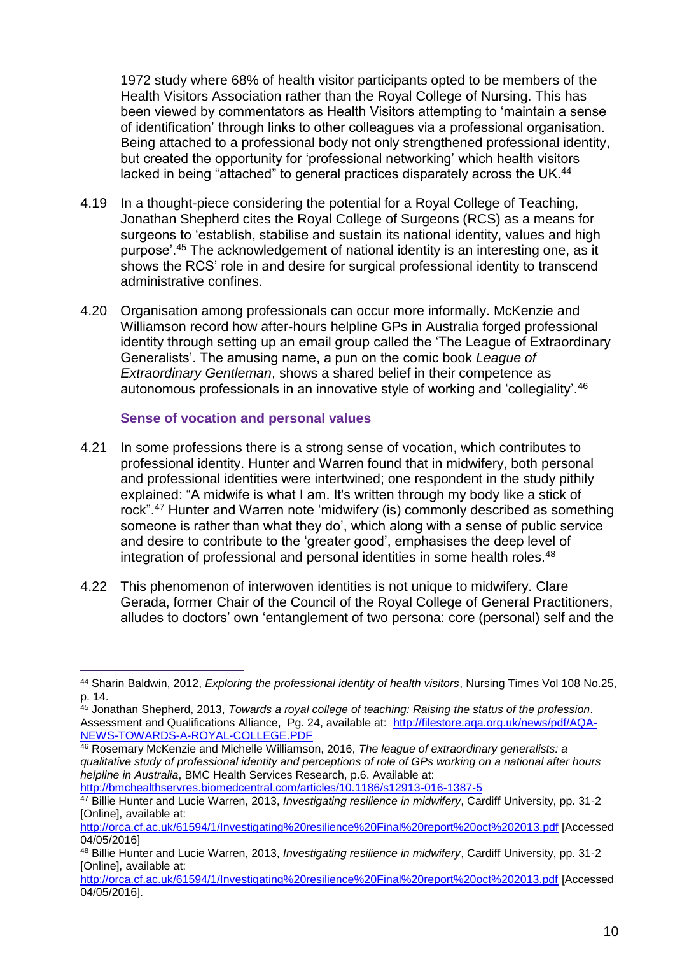1972 study where 68% of health visitor participants opted to be members of the Health Visitors Association rather than the Royal College of Nursing. This has been viewed by commentators as Health Visitors attempting to 'maintain a sense of identification' through links to other colleagues via a professional organisation. Being attached to a professional body not only strengthened professional identity, but created the opportunity for 'professional networking' which health visitors lacked in being "attached" to general practices disparately across the UK.<sup>44</sup>

- 4.19 In a thought-piece considering the potential for a Royal College of Teaching, Jonathan Shepherd cites the Royal College of Surgeons (RCS) as a means for surgeons to 'establish, stabilise and sustain its national identity, values and high purpose'.<sup>45</sup> The acknowledgement of national identity is an interesting one, as it shows the RCS' role in and desire for surgical professional identity to transcend administrative confines.
- 4.20 Organisation among professionals can occur more informally. McKenzie and Williamson record how after-hours helpline GPs in Australia forged professional identity through setting up an email group called the 'The League of Extraordinary Generalists'. The amusing name, a pun on the comic book *League of Extraordinary Gentleman*, shows a shared belief in their competence as autonomous professionals in an innovative style of working and 'collegiality'.<sup>46</sup>

### **Sense of vocation and personal values**

- 4.21 In some professions there is a strong sense of vocation, which contributes to professional identity. Hunter and Warren found that in midwifery, both personal and professional identities were intertwined; one respondent in the study pithily explained: "A midwife is what I am. It's written through my body like a stick of rock".<sup>47</sup> Hunter and Warren note 'midwifery (is) commonly described as something someone is rather than what they do', which along with a sense of public service and desire to contribute to the 'greater good', emphasises the deep level of integration of professional and personal identities in some health roles.<sup>48</sup>
- 4.22 This phenomenon of interwoven identities is not unique to midwifery. Clare Gerada, former Chair of the Council of the Royal College of General Practitioners, alludes to doctors' own 'entanglement of two persona: core (personal) self and the

<http://bmchealthservres.biomedcentral.com/articles/10.1186/s12913-016-1387-5>

 $\overline{a}$ <sup>44</sup> Sharin Baldwin, 2012, *Exploring the professional identity of health visitors*, Nursing Times Vol 108 No.25, p. 14.

<sup>45</sup> Jonathan Shepherd, 2013, *Towards a royal college of teaching: Raising the status of the profession*. Assessment and Qualifications Alliance, Pg. 24, available at: [http://filestore.aqa.org.uk/news/pdf/AQA-](http://filestore.aqa.org.uk/news/pdf/AQA-NEWS-TOWARDS-A-ROYAL-COLLEGE.PDF)[NEWS-TOWARDS-A-ROYAL-COLLEGE.PDF](http://filestore.aqa.org.uk/news/pdf/AQA-NEWS-TOWARDS-A-ROYAL-COLLEGE.PDF)

<sup>46</sup> Rosemary McKenzie and Michelle Williamson, 2016, *The league of extraordinary generalists: a qualitative study of professional identity and perceptions of role of GPs working on a national after hours helpline in Australia*, BMC Health Services Research, p.6. Available at:

<sup>47</sup> Billie Hunter and Lucie Warren, 2013, *Investigating resilience in midwifery*, Cardiff University, pp. 31-2 [Online], available at:

<http://orca.cf.ac.uk/61594/1/Investigating%20resilience%20Final%20report%20oct%202013.pdf> [Accessed 04/05/2016]

<sup>48</sup> Billie Hunter and Lucie Warren, 2013, *Investigating resilience in midwifery*, Cardiff University, pp. 31-2 [Online], available at:

<http://orca.cf.ac.uk/61594/1/Investigating%20resilience%20Final%20report%20oct%202013.pdf> [Accessed 04/05/2016].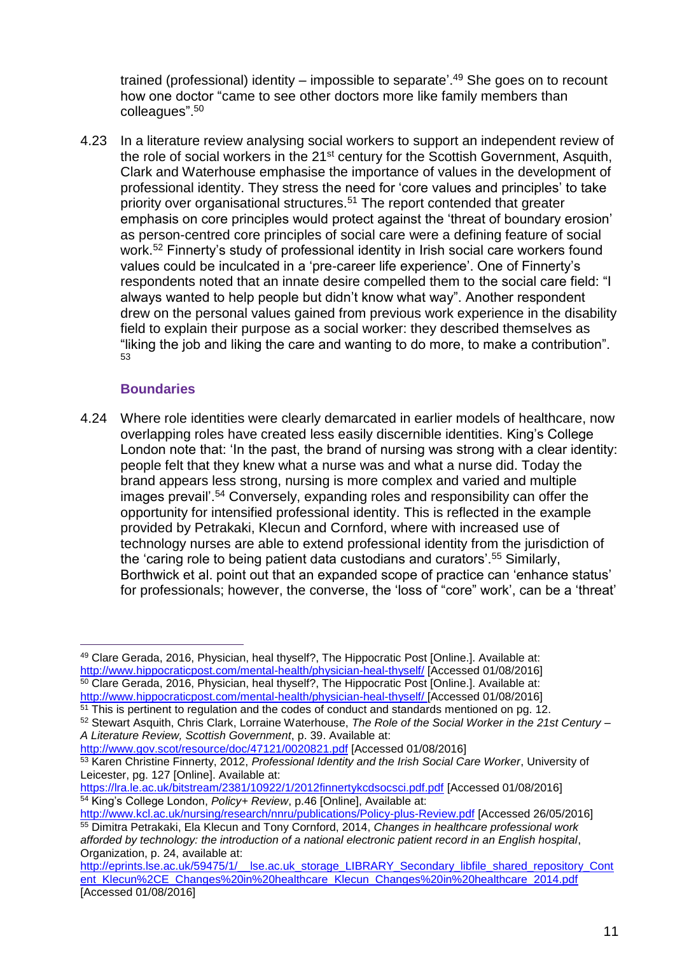trained (professional) identity – impossible to separate<sup>', 49</sup> She goes on to recount how one doctor "came to see other doctors more like family members than colleagues".<sup>50</sup>

4.23 In a literature review analysing social workers to support an independent review of the role of social workers in the 21<sup>st</sup> century for the Scottish Government, Asquith, Clark and Waterhouse emphasise the importance of values in the development of professional identity. They stress the need for 'core values and principles' to take priority over organisational structures.<sup>51</sup> The report contended that greater emphasis on core principles would protect against the 'threat of boundary erosion' as person-centred core principles of social care were a defining feature of social work.<sup>52</sup> Finnerty's study of professional identity in Irish social care workers found values could be inculcated in a 'pre-career life experience'. One of Finnerty's respondents noted that an innate desire compelled them to the social care field: "I always wanted to help people but didn't know what way". Another respondent drew on the personal values gained from previous work experience in the disability field to explain their purpose as a social worker: they described themselves as "liking the job and liking the care and wanting to do more, to make a contribution". 53

# **Boundaries**

4.24 Where role identities were clearly demarcated in earlier models of healthcare, now overlapping roles have created less easily discernible identities. King's College London note that: 'In the past, the brand of nursing was strong with a clear identity: people felt that they knew what a nurse was and what a nurse did. Today the brand appears less strong, nursing is more complex and varied and multiple images prevail'.<sup>54</sup> Conversely, expanding roles and responsibility can offer the opportunity for intensified professional identity. This is reflected in the example provided by Petrakaki, Klecun and Cornford, where with increased use of technology nurses are able to extend professional identity from the jurisdiction of the 'caring role to being patient data custodians and curators'.<sup>55</sup> Similarly, Borthwick et al. point out that an expanded scope of practice can 'enhance status' for professionals; however, the converse, the 'loss of "core" work', can be a 'threat'

 $\overline{a}$ <sup>49</sup> Clare Gerada, 2016, Physician, heal thyself?, The Hippocratic Post [Online.]. Available at: <http://www.hippocraticpost.com/mental-health/physician-heal-thyself/> [Accessed 01/08/2016] <sup>50</sup> Clare Gerada, 2016, Physician, heal thyself?, The Hippocratic Post [Online.]. Available at: <http://www.hippocraticpost.com/mental-health/physician-heal-thyself/> [Accessed 01/08/2016] <sup>51</sup> This is pertinent to regulation and the codes of conduct and standards mentioned on pg. 12.

<sup>52</sup> Stewart Asquith, Chris Clark, Lorraine Waterhouse, *The Role of the Social Worker in the 21st Century – A Literature Review, Scottish Government*, p. 39. Available at:

<http://www.gov.scot/resource/doc/47121/0020821.pdf> [Accessed 01/08/2016]

<sup>53</sup> Karen Christine Finnerty, 2012, *Professional Identity and the Irish Social Care Worker*, University of Leicester, pg. 127 [Online]. Available at:

<https://lra.le.ac.uk/bitstream/2381/10922/1/2012finnertykcdsocsci.pdf.pdf> [Accessed 01/08/2016] <sup>54</sup> King's College London, *Policy+ Review*, p.46 [Online], Available at:

<http://www.kcl.ac.uk/nursing/research/nnru/publications/Policy-plus-Review.pdf> [Accessed 26/05/2016] <sup>55</sup> Dimitra Petrakaki, Ela Klecun and Tony Cornford, 2014, *Changes in healthcare professional work afforded by technology: the introduction of a national electronic patient record in an English hospital*, Organization, p. 24, available at:

http://eprints.lse.ac.uk/59475/1/ Lse.ac.uk\_storage\_LIBRARY\_Secondary\_libfile\_shared\_repository\_Cont [ent\\_Klecun%2CE\\_Changes%20in%20healthcare\\_Klecun\\_Changes%20in%20healthcare\\_2014.pdf](http://eprints.lse.ac.uk/59475/1/__lse.ac.uk_storage_LIBRARY_Secondary_libfile_shared_repository_Content_Klecun%2CE_Changes%20in%20healthcare_Klecun_Changes%20in%20healthcare_2014.pdf)  [Accessed 01/08/2016]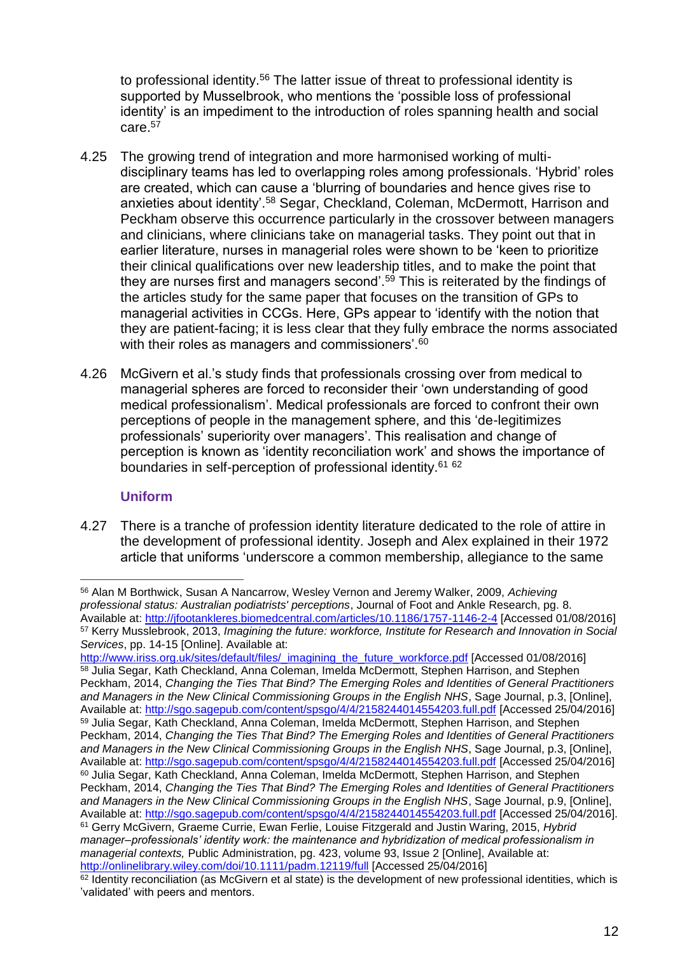to professional identity.<sup>56</sup> The latter issue of threat to professional identity is supported by Musselbrook, who mentions the 'possible loss of professional identity' is an impediment to the introduction of roles spanning health and social care.<sup>57</sup>

- 4.25 The growing trend of integration and more harmonised working of multidisciplinary teams has led to overlapping roles among professionals. 'Hybrid' roles are created, which can cause a 'blurring of boundaries and hence gives rise to anxieties about identity'.<sup>58</sup> Segar, Checkland, Coleman, McDermott, Harrison and Peckham observe this occurrence particularly in the crossover between managers and clinicians, where clinicians take on managerial tasks. They point out that in earlier literature, nurses in managerial roles were shown to be 'keen to prioritize their clinical qualifications over new leadership titles, and to make the point that they are nurses first and managers second'.<sup>59</sup> This is reiterated by the findings of the articles study for the same paper that focuses on the transition of GPs to managerial activities in CCGs. Here, GPs appear to 'identify with the notion that they are patient-facing; it is less clear that they fully embrace the norms associated with their roles as managers and commissioners'.<sup>60</sup>
- 4.26 McGivern et al.'s study finds that professionals crossing over from medical to managerial spheres are forced to reconsider their 'own understanding of good medical professionalism'. Medical professionals are forced to confront their own perceptions of people in the management sphere, and this 'de-legitimizes professionals' superiority over managers'. This realisation and change of perception is known as 'identity reconciliation work' and shows the importance of boundaries in self-perception of professional identity.<sup>61 62</sup>

# **Uniform**

4.27 There is a tranche of profession identity literature dedicated to the role of attire in the development of professional identity. Joseph and Alex explained in their 1972 article that uniforms 'underscore a common membership, allegiance to the same

 $\overline{a}$ <sup>56</sup> Alan M Borthwick, Susan A Nancarrow, Wesley Vernon and Jeremy Walker, 2009, *Achieving professional status: Australian podiatrists' perceptions*, Journal of Foot and Ankle Research, pg. 8. Available at:<http://jfootankleres.biomedcentral.com/articles/10.1186/1757-1146-2-4> [Accessed 01/08/2016] <sup>57</sup> Kerry Musslebrook, 2013, *Imagining the future: workforce, Institute for Research and Innovation in Social Services*, pp. 14-15 [Online]. Available at:

[http://www.iriss.org.uk/sites/default/files/\\_imagining\\_the\\_future\\_workforce.pdf](http://www.iriss.org.uk/sites/default/files/_imagining_the_future_workforce.pdf) [Accessed 01/08/2016] <sup>58</sup> Julia Segar, Kath Checkland, Anna Coleman, Imelda McDermott, Stephen Harrison, and Stephen Peckham, 2014, *Changing the Ties That Bind? The Emerging Roles and Identities of General Practitioners and Managers in the New Clinical Commissioning Groups in the English NHS*, Sage Journal, p.3, [Online], Available at:<http://sgo.sagepub.com/content/spsgo/4/4/2158244014554203.full.pdf> [Accessed 25/04/2016] <sup>59</sup> Julia Segar, Kath Checkland, Anna Coleman, Imelda McDermott, Stephen Harrison, and Stephen Peckham, 2014, *Changing the Ties That Bind? The Emerging Roles and Identities of General Practitioners and Managers in the New Clinical Commissioning Groups in the English NHS*, Sage Journal, p.3, [Online], Available at:<http://sgo.sagepub.com/content/spsgo/4/4/2158244014554203.full.pdf> [Accessed 25/04/2016] <sup>60</sup> Julia Segar, Kath Checkland, Anna Coleman, Imelda McDermott, Stephen Harrison, and Stephen Peckham, 2014, *Changing the Ties That Bind? The Emerging Roles and Identities of General Practitioners and Managers in the New Clinical Commissioning Groups in the English NHS*, Sage Journal, p.9, [Online], Available at:<http://sgo.sagepub.com/content/spsgo/4/4/2158244014554203.full.pdf> [Accessed 25/04/2016]. <sup>61</sup> Gerry McGivern, Graeme Currie, Ewan Ferlie, Louise Fitzgerald and Justin Waring, 2015, *Hybrid manager–professionals' identity work: the maintenance and hybridization of medical professionalism in managerial contexts,* Public Administration, pg. 423, volume 93, Issue 2 [Online], Available at: <http://onlinelibrary.wiley.com/doi/10.1111/padm.12119/full> [Accessed 25/04/2016]

<sup>&</sup>lt;sup>62</sup> Identity reconciliation (as McGivern et al state) is the development of new professional identities, which is 'validated' with peers and mentors.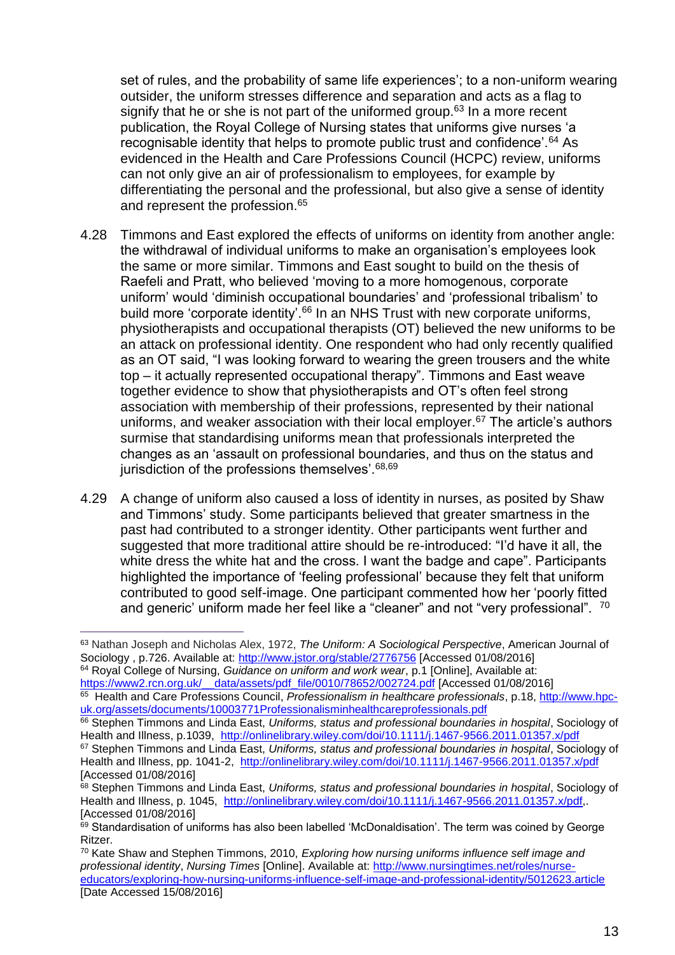set of rules, and the probability of same life experiences'; to a non-uniform wearing outsider, the uniform stresses difference and separation and acts as a flag to signify that he or she is not part of the uniformed group.<sup>63</sup> In a more recent publication, the Royal College of Nursing states that uniforms give nurses 'a recognisable identity that helps to promote public trust and confidence'.<sup>64</sup> As evidenced in the Health and Care Professions Council (HCPC) review, uniforms can not only give an air of professionalism to employees, for example by differentiating the personal and the professional, but also give a sense of identity and represent the profession.<sup>65</sup>

- 4.28 Timmons and East explored the effects of uniforms on identity from another angle: the withdrawal of individual uniforms to make an organisation's employees look the same or more similar. Timmons and East sought to build on the thesis of Raefeli and Pratt, who believed 'moving to a more homogenous, corporate uniform' would 'diminish occupational boundaries' and 'professional tribalism' to build more 'corporate identity'.<sup>66</sup> In an NHS Trust with new corporate uniforms, physiotherapists and occupational therapists (OT) believed the new uniforms to be an attack on professional identity. One respondent who had only recently qualified as an OT said, "I was looking forward to wearing the green trousers and the white top – it actually represented occupational therapy". Timmons and East weave together evidence to show that physiotherapists and OT's often feel strong association with membership of their professions, represented by their national uniforms, and weaker association with their local employer.<sup>67</sup> The article's authors surmise that standardising uniforms mean that professionals interpreted the changes as an 'assault on professional boundaries, and thus on the status and jurisdiction of the professions themselves'. 68,69
- 4.29 A change of uniform also caused a loss of identity in nurses, as posited by Shaw and Timmons' study. Some participants believed that greater smartness in the past had contributed to a stronger identity. Other participants went further and suggested that more traditional attire should be re-introduced: "I'd have it all, the white dress the white hat and the cross. I want the badge and cape". Participants highlighted the importance of 'feeling professional' because they felt that uniform contributed to good self-image. One participant commented how her 'poorly fitted and generic' uniform made her feel like a "cleaner" and not "very professional". <sup>70</sup>

 $\overline{a}$ 

<sup>65</sup> Health and Care Professions Council, *Professionalism in healthcare professionals*, p.18, <u>http://www.hpc-</u> [uk.org/assets/documents/10003771Professionalisminhealthcareprofessionals.pdf](http://www.hpc-uk.org/assets/documents/10003771Professionalisminhealthcareprofessionals.pdf)

<sup>63</sup> Nathan Joseph and Nicholas Alex, 1972, *The Uniform: A Sociological Perspective*, American Journal of Sociology, p.726. Available at:<http://www.jstor.org/stable/2776756> [Accessed 01/08/2016] <sup>64</sup> Royal College of Nursing, *Guidance on uniform and work wear*, p.1 [Online], Available at: [https://www2.rcn.org.uk/\\_\\_data/assets/pdf\\_file/0010/78652/002724.pdf](https://www2.rcn.org.uk/__data/assets/pdf_file/0010/78652/002724.pdf) [Accessed 01/08/2016]

<sup>66</sup> Stephen Timmons and Linda East, *Uniforms, status and professional boundaries in hospital*, Sociology of Health and Illness, p.1039, <http://onlinelibrary.wiley.com/doi/10.1111/j.1467-9566.2011.01357.x/pdf>

<sup>67</sup> Stephen Timmons and Linda East, *Uniforms, status and professional boundaries in hospital*, Sociology of Health and Illness, pp. 1041-2, <http://onlinelibrary.wiley.com/doi/10.1111/j.1467-9566.2011.01357.x/pdf> [Accessed 01/08/2016]

<sup>68</sup> Stephen Timmons and Linda East, *Uniforms, status and professional boundaries in hospital*, Sociology of Health and Illness, p. 1045, [http://onlinelibrary.wiley.com/doi/10.1111/j.1467-9566.2011.01357.x/pdf,](http://onlinelibrary.wiley.com/doi/10.1111/j.1467-9566.2011.01357.x/pdf). [Accessed 01/08/2016]

<sup>69</sup> Standardisation of uniforms has also been labelled 'McDonaldisation'. The term was coined by George Ritzer.

<sup>70</sup> Kate Shaw and Stephen Timmons, 2010, *Exploring how nursing uniforms influence self image and professional identity*, *Nursing Times* [Online]. Available at: [http://www.nursingtimes.net/roles/nurse](http://www.nursingtimes.net/roles/nurse-educators/exploring-how-nursing-uniforms-influence-self-image-and-professional-identity/5012623.article)[educators/exploring-how-nursing-uniforms-influence-self-image-and-professional-identity/5012623.article](http://www.nursingtimes.net/roles/nurse-educators/exploring-how-nursing-uniforms-influence-self-image-and-professional-identity/5012623.article) [Date Accessed 15/08/2016]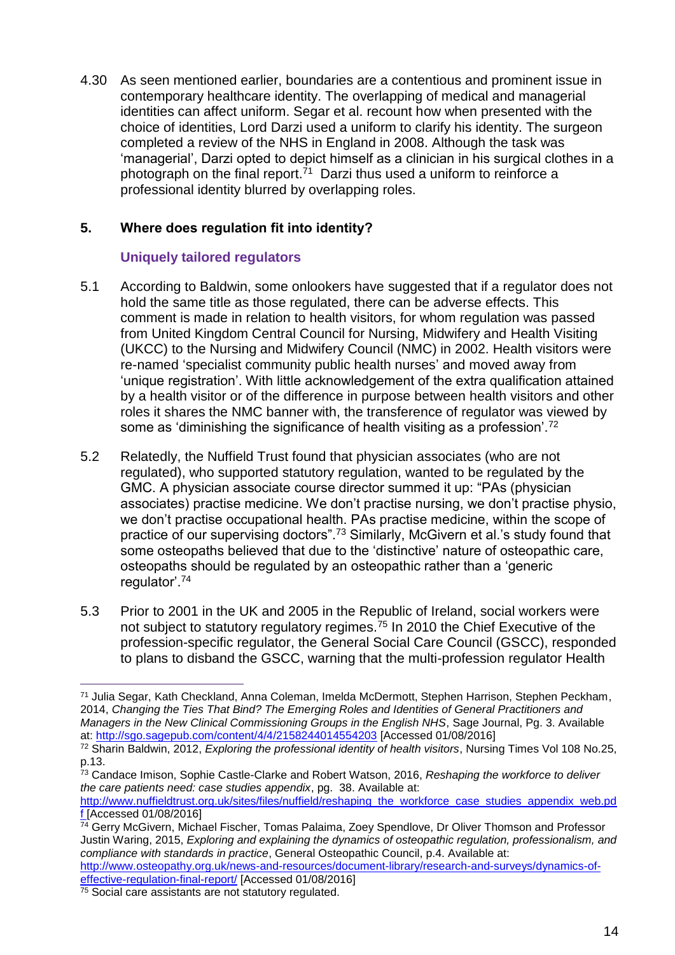4.30 As seen mentioned earlier, boundaries are a contentious and prominent issue in contemporary healthcare identity. The overlapping of medical and managerial identities can affect uniform. Segar et al. recount how when presented with the choice of identities, Lord Darzi used a uniform to clarify his identity. The surgeon completed a review of the NHS in England in 2008. Although the task was 'managerial', Darzi opted to depict himself as a clinician in his surgical clothes in a photograph on the final report.<sup>71</sup> Darzi thus used a uniform to reinforce a professional identity blurred by overlapping roles.

# **5. Where does regulation fit into identity?**

# **Uniquely tailored regulators**

- 5.1 According to Baldwin, some onlookers have suggested that if a regulator does not hold the same title as those regulated, there can be adverse effects. This comment is made in relation to health visitors, for whom regulation was passed from United Kingdom Central Council for Nursing, Midwifery and Health Visiting (UKCC) to the Nursing and Midwifery Council (NMC) in 2002. Health visitors were re-named 'specialist community public health nurses' and moved away from 'unique registration'. With little acknowledgement of the extra qualification attained by a health visitor or of the difference in purpose between health visitors and other roles it shares the NMC banner with, the transference of regulator was viewed by some as 'diminishing the significance of health visiting as a profession'.<sup>72</sup>
- 5.2 Relatedly, the Nuffield Trust found that physician associates (who are not regulated), who supported statutory regulation, wanted to be regulated by the GMC. A physician associate course director summed it up: "PAs (physician associates) practise medicine. We don't practise nursing, we don't practise physio, we don't practise occupational health. PAs practise medicine, within the scope of practice of our supervising doctors".<sup>73</sup> Similarly, McGivern et al.'s study found that some osteopaths believed that due to the 'distinctive' nature of osteopathic care, osteopaths should be regulated by an osteopathic rather than a 'generic regulator'.<sup>74</sup>
- 5.3 Prior to 2001 in the UK and 2005 in the Republic of Ireland, social workers were not subject to statutory regulatory regimes.<sup>75</sup> In 2010 the Chief Executive of the profession-specific regulator, the General Social Care Council (GSCC), responded to plans to disband the GSCC, warning that the multi-profession regulator Health

[http://www.nuffieldtrust.org.uk/sites/files/nuffield/reshaping\\_the\\_workforce\\_case\\_studies\\_appendix\\_web.pd](http://www.nuffieldtrust.org.uk/sites/files/nuffield/reshaping_the_workforce_case_studies_appendix_web.pdf) [f](http://www.nuffieldtrust.org.uk/sites/files/nuffield/reshaping_the_workforce_case_studies_appendix_web.pdf) [Accessed 01/08/2016]

[effective-regulation-final-report/](http://www.osteopathy.org.uk/news-and-resources/document-library/research-and-surveys/dynamics-of-effective-regulation-final-report/) [Accessed 01/08/2016]

 $\overline{a}$ <sup>71</sup> Julia Segar, Kath Checkland, Anna Coleman, Imelda McDermott, Stephen Harrison, Stephen Peckham, 2014, *Changing the Ties That Bind? The Emerging Roles and Identities of General Practitioners and Managers in the New Clinical Commissioning Groups in the English NHS*, Sage Journal, Pg. 3. Available at:<http://sgo.sagepub.com/content/4/4/2158244014554203> [Accessed 01/08/2016]

<sup>72</sup> Sharin Baldwin, 2012, *Exploring the professional identity of health visitors*, Nursing Times Vol 108 No.25, p.13.

<sup>73</sup> Candace Imison, Sophie Castle-Clarke and Robert Watson, 2016, *Reshaping the workforce to deliver the care patients need: case studies appendix*, pg. 38. Available at:

 $\frac{74}{14}$  Gerry McGivern, Michael Fischer, Tomas Palaima, Zoey Spendlove, Dr Oliver Thomson and Professor Justin Waring, 2015, *Exploring and explaining the dynamics of osteopathic regulation, professionalism, and compliance with standards in practice*, General Osteopathic Council, p.4. Available at: [http://www.osteopathy.org.uk/news-and-resources/document-library/research-and-surveys/dynamics-of-](http://www.osteopathy.org.uk/news-and-resources/document-library/research-and-surveys/dynamics-of-effective-regulation-final-report/)

<sup>75</sup> Social care assistants are not statutory regulated.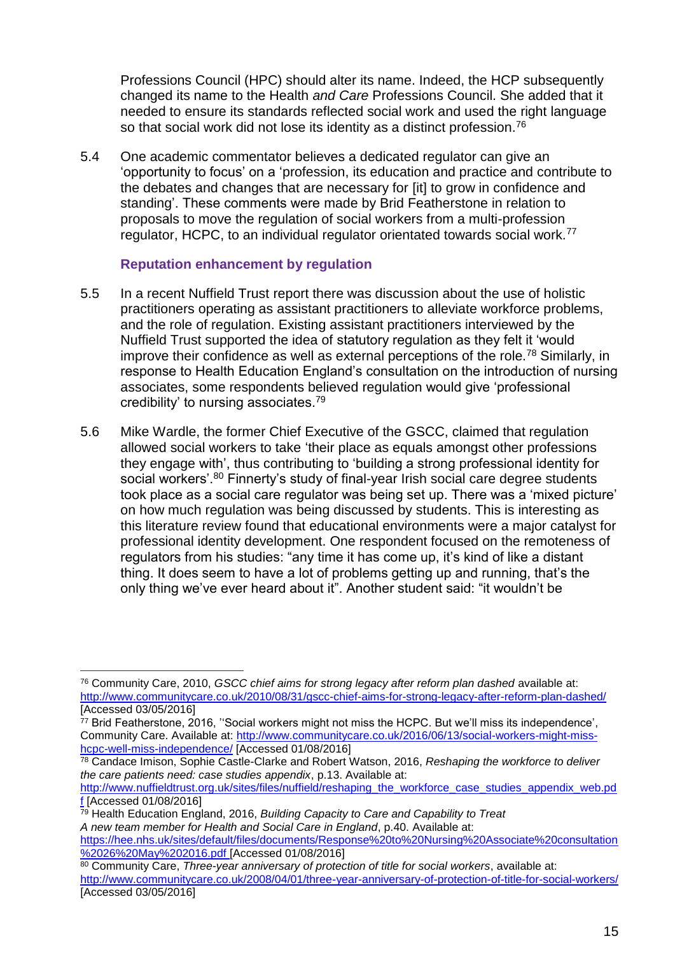Professions Council (HPC) should alter its name. Indeed, the HCP subsequently changed its name to the Health *and Care* Professions Council. She added that it needed to ensure its standards reflected social work and used the right language so that social work did not lose its identity as a distinct profession.<sup>76</sup>

5.4 One academic commentator believes a dedicated regulator can give an 'opportunity to focus' on a 'profession, its education and practice and contribute to the debates and changes that are necessary for [it] to grow in confidence and standing'. These comments were made by Brid Featherstone in relation to proposals to move the regulation of social workers from a multi-profession regulator, HCPC, to an individual regulator orientated towards social work.<sup>77</sup>

### **Reputation enhancement by regulation**

- 5.5 In a recent Nuffield Trust report there was discussion about the use of holistic practitioners operating as assistant practitioners to alleviate workforce problems, and the role of regulation. Existing assistant practitioners interviewed by the Nuffield Trust supported the idea of statutory regulation as they felt it 'would improve their confidence as well as external perceptions of the role.<sup>78</sup> Similarly, in response to Health Education England's consultation on the introduction of nursing associates, some respondents believed regulation would give 'professional credibility' to nursing associates.<sup>79</sup>
- 5.6 Mike Wardle, the former Chief Executive of the GSCC, claimed that regulation allowed social workers to take 'their place as equals amongst other professions they engage with', thus contributing to 'building a strong professional identity for social workers'.<sup>80</sup> Finnerty's study of final-year Irish social care degree students took place as a social care regulator was being set up. There was a 'mixed picture' on how much regulation was being discussed by students. This is interesting as this literature review found that educational environments were a major catalyst for professional identity development. One respondent focused on the remoteness of regulators from his studies: "any time it has come up, it's kind of like a distant thing. It does seem to have a lot of problems getting up and running, that's the only thing we've ever heard about it". Another student said: "it wouldn't be

<sup>79</sup> Health Education England, 2016, *Building Capacity to Care and Capability to Treat*

<sup>76</sup> Community Care, 2010, *GSCC chief aims for strong legacy after reform plan dashed* available at: <http://www.communitycare.co.uk/2010/08/31/gscc-chief-aims-for-strong-legacy-after-reform-plan-dashed/> [Accessed 03/05/2016]

<sup>77</sup> Brid Featherstone, 2016, ''Social workers might not miss the HCPC. But we'll miss its independence', Community Care. Available at: [http://www.communitycare.co.uk/2016/06/13/social-workers-might-miss](http://www.communitycare.co.uk/2016/06/13/social-workers-might-miss-hcpc-well-miss-independence/)[hcpc-well-miss-independence/](http://www.communitycare.co.uk/2016/06/13/social-workers-might-miss-hcpc-well-miss-independence/) [Accessed 01/08/2016]

<sup>78</sup> Candace Imison, Sophie Castle-Clarke and Robert Watson, 2016, *Reshaping the workforce to deliver the care patients need: case studies appendix*, p.13. Available at:

[http://www.nuffieldtrust.org.uk/sites/files/nuffield/reshaping\\_the\\_workforce\\_case\\_studies\\_appendix\\_web.pd](http://www.nuffieldtrust.org.uk/sites/files/nuffield/reshaping_the_workforce_case_studies_appendix_web.pdf) [f](http://www.nuffieldtrust.org.uk/sites/files/nuffield/reshaping_the_workforce_case_studies_appendix_web.pdf) [Accessed 01/08/2016]

*A new team member for Health and Social Care in England*, p.40. Available at:

[https://hee.nhs.uk/sites/default/files/documents/Response%20to%20Nursing%20Associate%20consultation](https://hee.nhs.uk/sites/default/files/documents/Response%20to%20Nursing%20Associate%20consultation%2026%20May%202016.pdf) [%2026%20May%202016.pdf](https://hee.nhs.uk/sites/default/files/documents/Response%20to%20Nursing%20Associate%20consultation%2026%20May%202016.pdf) [Accessed 01/08/2016]

<sup>80</sup> Community Care, *Three-year anniversary of protection of title for social workers*, available at: <http://www.communitycare.co.uk/2008/04/01/three-year-anniversary-of-protection-of-title-for-social-workers/> [Accessed 03/05/2016]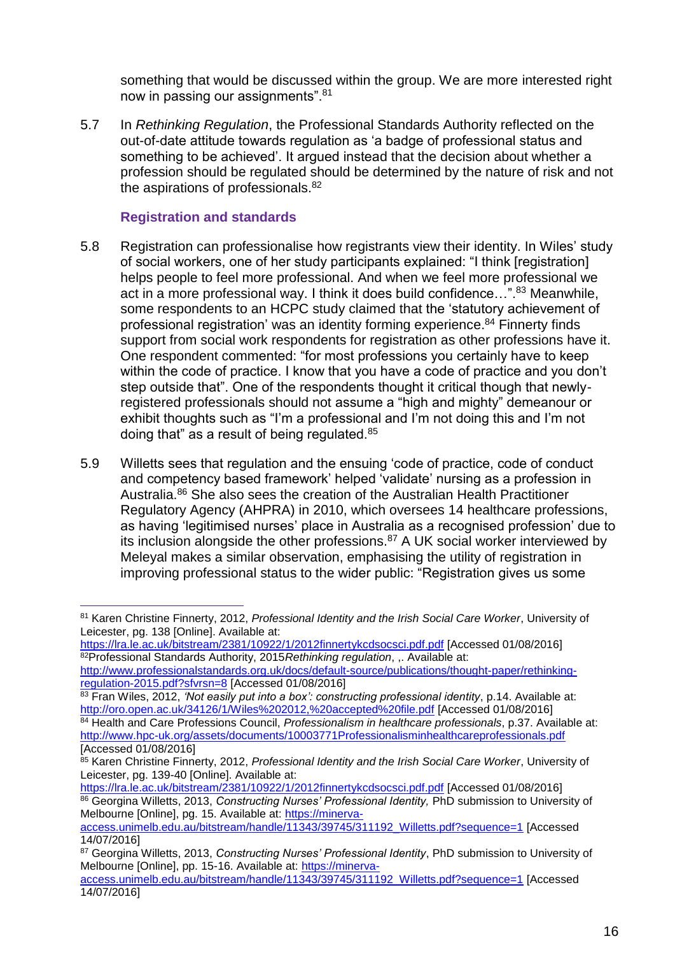something that would be discussed within the group. We are more interested right now in passing our assignments". <sup>81</sup>

5.7 In *Rethinking Regulation*, the Professional Standards Authority reflected on the out-of-date attitude towards regulation as 'a badge of professional status and something to be achieved'. It argued instead that the decision about whether a profession should be regulated should be determined by the nature of risk and not the aspirations of professionals. $82$ 

#### **Registration and standards**

- 5.8 Registration can professionalise how registrants view their identity. In Wiles' study of social workers, one of her study participants explained: "I think [registration] helps people to feel more professional. And when we feel more professional we act in a more professional way. I think it does build confidence...".<sup>83</sup> Meanwhile, some respondents to an HCPC study claimed that the 'statutory achievement of professional registration' was an identity forming experience.<sup>84</sup> Finnerty finds support from social work respondents for registration as other professions have it. One respondent commented: "for most professions you certainly have to keep within the code of practice. I know that you have a code of practice and you don't step outside that". One of the respondents thought it critical though that newlyregistered professionals should not assume a "high and mighty" demeanour or exhibit thoughts such as "I'm a professional and I'm not doing this and I'm not doing that" as a result of being regulated.<sup>85</sup>
- 5.9 Willetts sees that regulation and the ensuing 'code of practice, code of conduct and competency based framework' helped 'validate' nursing as a profession in Australia.<sup>86</sup> She also sees the creation of the Australian Health Practitioner Regulatory Agency (AHPRA) in 2010, which oversees 14 healthcare professions, as having 'legitimised nurses' place in Australia as a recognised profession' due to its inclusion alongside the other professions.<sup>87</sup> A UK social worker interviewed by Meleyal makes a similar observation, emphasising the utility of registration in improving professional status to the wider public: "Registration gives us some

<sup>81</sup> Karen Christine Finnerty, 2012, *Professional Identity and the Irish Social Care Worker*, University of Leicester, pg. 138 [Online]. Available at:

<https://lra.le.ac.uk/bitstream/2381/10922/1/2012finnertykcdsocsci.pdf.pdf> [Accessed 01/08/2016] <sup>82</sup>Professional Standards Authority, 2015*Rethinking regulation*, ,. Available at:

[http://www.professionalstandards.org.uk/docs/default-source/publications/thought-paper/rethinking](http://www.professionalstandards.org.uk/docs/default-source/publications/thought-paper/rethinking-regulation-2015.pdf?sfvrsn=8)[regulation-2015.pdf?sfvrsn=8](http://www.professionalstandards.org.uk/docs/default-source/publications/thought-paper/rethinking-regulation-2015.pdf?sfvrsn=8) [Accessed 01/08/2016]

<sup>83</sup> Fran Wiles, 2012, *'Not easily put into a box': constructing professional identity*, p.14. Available at: <http://oro.open.ac.uk/34126/1/Wiles%202012,%20accepted%20file.pdf> [Accessed 01/08/2016]

<sup>84</sup> Health and Care Professions Council, *Professionalism in healthcare professionals*, p.37. Available at: <http://www.hpc-uk.org/assets/documents/10003771Professionalisminhealthcareprofessionals.pdf> [Accessed 01/08/2016]

<sup>85</sup> Karen Christine Finnerty, 2012, *Professional Identity and the Irish Social Care Worker*, University of Leicester, pg. 139-40 [Online]. Available at:

<https://lra.le.ac.uk/bitstream/2381/10922/1/2012finnertykcdsocsci.pdf.pdf> [Accessed 01/08/2016] <sup>86</sup> Georgina Willetts, 2013, *Constructing Nurses' Professional Identity,* PhD submission to University of Melbourne [Online], pg. 15. Available at: [https://minerva-](https://minerva-access.unimelb.edu.au/bitstream/handle/11343/39745/311192_Willetts.pdf?sequence=1)

[access.unimelb.edu.au/bitstream/handle/11343/39745/311192\\_Willetts.pdf?sequence=1](https://minerva-access.unimelb.edu.au/bitstream/handle/11343/39745/311192_Willetts.pdf?sequence=1) [Accessed 14/07/2016]

<sup>87</sup> Georgina Willetts, 2013, *Constructing Nurses' Professional Identity*, PhD submission to University of Melbourne [Online], pp. 15-16. Available at: [https://minerva-](https://minerva-access.unimelb.edu.au/bitstream/handle/11343/39745/311192_Willetts.pdf?sequence=1)

[access.unimelb.edu.au/bitstream/handle/11343/39745/311192\\_Willetts.pdf?sequence=1](https://minerva-access.unimelb.edu.au/bitstream/handle/11343/39745/311192_Willetts.pdf?sequence=1) [Accessed 14/07/2016]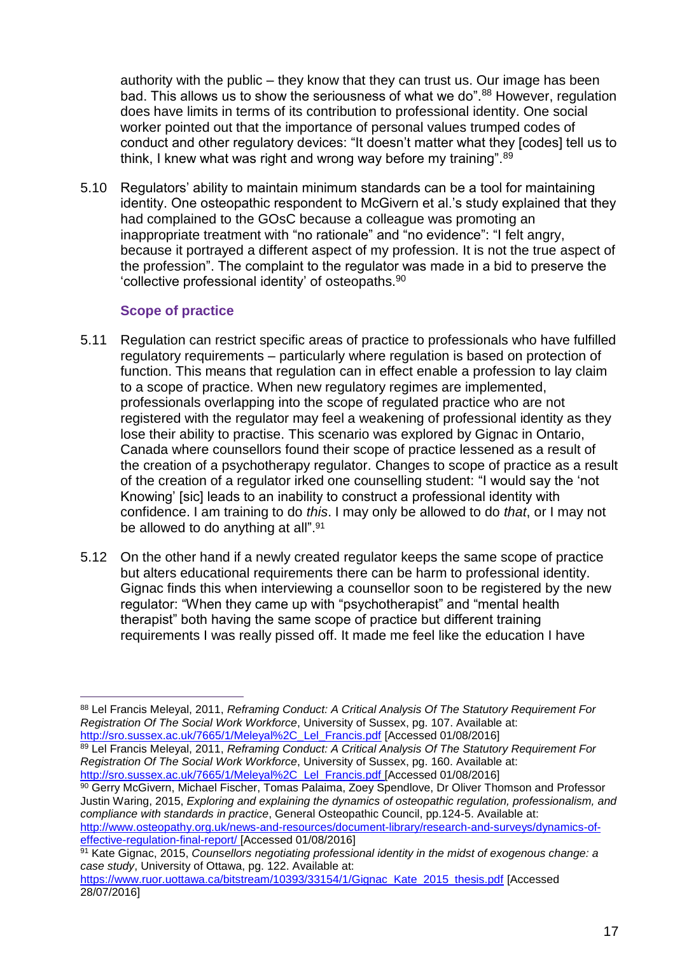authority with the public – they know that they can trust us. Our image has been bad. This allows us to show the seriousness of what we do".<sup>88</sup> However, regulation does have limits in terms of its contribution to professional identity. One social worker pointed out that the importance of personal values trumped codes of conduct and other regulatory devices: "It doesn't matter what they [codes] tell us to think, I knew what was right and wrong way before my training".<sup>89</sup>

5.10 Regulators' ability to maintain minimum standards can be a tool for maintaining identity. One osteopathic respondent to McGivern et al.'s study explained that they had complained to the GOsC because a colleague was promoting an inappropriate treatment with "no rationale" and "no evidence": "I felt angry, because it portrayed a different aspect of my profession. It is not the true aspect of the profession". The complaint to the regulator was made in a bid to preserve the 'collective professional identity' of osteopaths.<sup>90</sup>

# **Scope of practice**

- 5.11 Regulation can restrict specific areas of practice to professionals who have fulfilled regulatory requirements – particularly where regulation is based on protection of function. This means that regulation can in effect enable a profession to lay claim to a scope of practice. When new regulatory regimes are implemented, professionals overlapping into the scope of regulated practice who are not registered with the regulator may feel a weakening of professional identity as they lose their ability to practise. This scenario was explored by Gignac in Ontario, Canada where counsellors found their scope of practice lessened as a result of the creation of a psychotherapy regulator. Changes to scope of practice as a result of the creation of a regulator irked one counselling student: "I would say the 'not Knowing' [sic] leads to an inability to construct a professional identity with confidence. I am training to do *this*. I may only be allowed to do *that*, or I may not be allowed to do anything at all".<sup>91</sup>
- 5.12 On the other hand if a newly created regulator keeps the same scope of practice but alters educational requirements there can be harm to professional identity. Gignac finds this when interviewing a counsellor soon to be registered by the new regulator: "When they came up with "psychotherapist" and "mental health therapist" both having the same scope of practice but different training requirements I was really pissed off. It made me feel like the education I have

<sup>89</sup> Lel Francis Meleyal, 2011, *Reframing Conduct: A Critical Analysis Of The Statutory Requirement For Registration Of The Social Work Workforce*, University of Sussex, pg. 160. Available at: [http://sro.sussex.ac.uk/7665/1/Meleyal%2C\\_Lel\\_Francis.pdf](http://sro.sussex.ac.uk/7665/1/Meleyal%2C_Lel_Francis.pdf) [Accessed 01/08/2016]

90 Gerry McGivern, Michael Fischer, Tomas Palaima, Zoey Spendlove, Dr Oliver Thomson and Professor Justin Waring, 2015, *Exploring and explaining the dynamics of osteopathic regulation, professionalism, and compliance with standards in practice*, General Osteopathic Council, pp.124-5. Available at: [http://www.osteopathy.org.uk/news-and-resources/document-library/research-and-surveys/dynamics-of](http://www.osteopathy.org.uk/news-and-resources/document-library/research-and-surveys/dynamics-of-effective-regulation-final-report/)[effective-regulation-final-report/](http://www.osteopathy.org.uk/news-and-resources/document-library/research-and-surveys/dynamics-of-effective-regulation-final-report/) [Accessed 01/08/2016]

 $\overline{a}$ <sup>88</sup> Lel Francis Meleyal, 2011, *Reframing Conduct: A Critical Analysis Of The Statutory Requirement For Registration Of The Social Work Workforce*, University of Sussex, pg. 107. Available at: [http://sro.sussex.ac.uk/7665/1/Meleyal%2C\\_Lel\\_Francis.pdf](http://sro.sussex.ac.uk/7665/1/Meleyal%2C_Lel_Francis.pdf) [Accessed 01/08/2016]

<sup>91</sup> Kate Gignac, 2015, *Counsellors negotiating professional identity in the midst of exogenous change: a case study*, University of Ottawa, pg. 122. Available at:

[https://www.ruor.uottawa.ca/bitstream/10393/33154/1/Gignac\\_Kate\\_2015\\_thesis.pdf](https://www.ruor.uottawa.ca/bitstream/10393/33154/1/Gignac_Kate_2015_thesis.pdf) [Accessed 28/07/2016]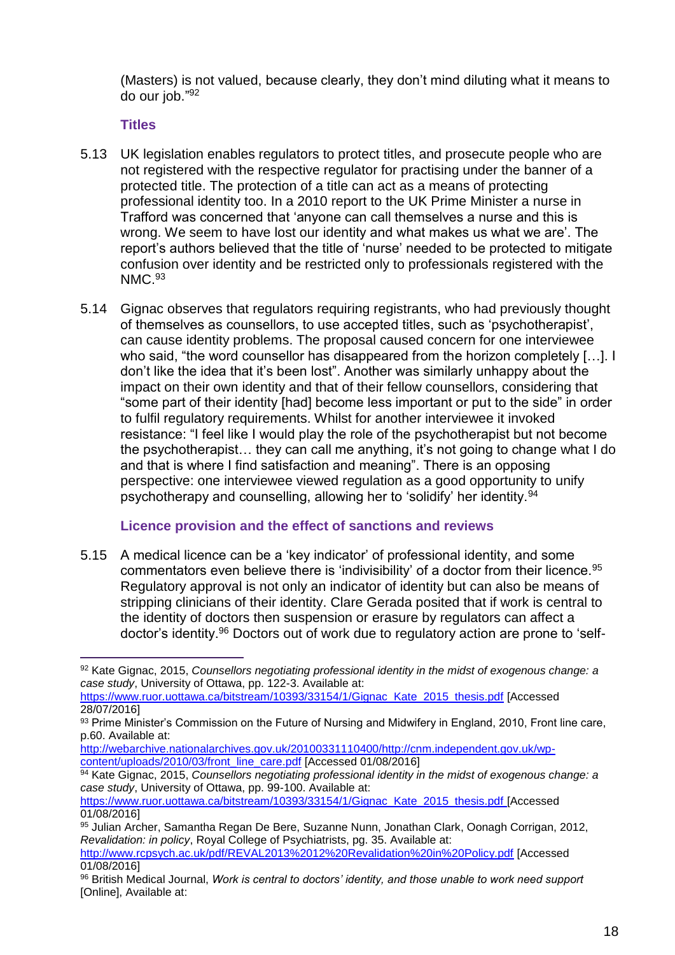(Masters) is not valued, because clearly, they don't mind diluting what it means to do our job." 92

#### **Titles**

- 5.13 UK legislation enables regulators to protect titles, and prosecute people who are not registered with the respective regulator for practising under the banner of a protected title. The protection of a title can act as a means of protecting professional identity too. In a 2010 report to the UK Prime Minister a nurse in Trafford was concerned that 'anyone can call themselves a nurse and this is wrong. We seem to have lost our identity and what makes us what we are'. The report's authors believed that the title of 'nurse' needed to be protected to mitigate confusion over identity and be restricted only to professionals registered with the NMC.<sup>93</sup>
- 5.14 Gignac observes that regulators requiring registrants, who had previously thought of themselves as counsellors, to use accepted titles, such as 'psychotherapist', can cause identity problems. The proposal caused concern for one interviewee who said, "the word counsellor has disappeared from the horizon completely [...]. I don't like the idea that it's been lost". Another was similarly unhappy about the impact on their own identity and that of their fellow counsellors, considering that "some part of their identity [had] become less important or put to the side" in order to fulfil regulatory requirements. Whilst for another interviewee it invoked resistance: "I feel like I would play the role of the psychotherapist but not become the psychotherapist… they can call me anything, it's not going to change what I do and that is where I find satisfaction and meaning". There is an opposing perspective: one interviewee viewed regulation as a good opportunity to unify psychotherapy and counselling, allowing her to 'solidify' her identity.<sup>94</sup>

### **Licence provision and the effect of sanctions and reviews**

5.15 A medical licence can be a 'key indicator' of professional identity, and some commentators even believe there is 'indivisibility' of a doctor from their licence.<sup>95</sup> Regulatory approval is not only an indicator of identity but can also be means of stripping clinicians of their identity. Clare Gerada posited that if work is central to the identity of doctors then suspension or erasure by regulators can affect a doctor's identity.<sup>96</sup> Doctors out of work due to regulatory action are prone to 'self-

 $\overline{a}$ <sup>92</sup> Kate Gignac, 2015, *Counsellors negotiating professional identity in the midst of exogenous change: a case study*, University of Ottawa, pp. 122-3. Available at:

[https://www.ruor.uottawa.ca/bitstream/10393/33154/1/Gignac\\_Kate\\_2015\\_thesis.pdf](https://www.ruor.uottawa.ca/bitstream/10393/33154/1/Gignac_Kate_2015_thesis.pdf) [Accessed 28/07/2016]

<sup>93</sup> Prime Minister's Commission on the Future of Nursing and Midwifery in England, 2010, Front line care, p.60. Available at:

[http://webarchive.nationalarchives.gov.uk/20100331110400/http://cnm.independent.gov.uk/wp](http://webarchive.nationalarchives.gov.uk/20100331110400/http:/cnm.independent.gov.uk/wp-content/uploads/2010/03/front_line_care.pdf)[content/uploads/2010/03/front\\_line\\_care.pdf](http://webarchive.nationalarchives.gov.uk/20100331110400/http:/cnm.independent.gov.uk/wp-content/uploads/2010/03/front_line_care.pdf) [Accessed 01/08/2016]

<sup>94</sup> Kate Gignac, 2015, *Counsellors negotiating professional identity in the midst of exogenous change: a case study*, University of Ottawa, pp. 99-100. Available at:

[https://www.ruor.uottawa.ca/bitstream/10393/33154/1/Gignac\\_Kate\\_2015\\_thesis.pdf](https://www.ruor.uottawa.ca/bitstream/10393/33154/1/Gignac_Kate_2015_thesis.pdf) [Accessed 01/08/2016]

<sup>95</sup> Julian Archer, Samantha Regan De Bere, Suzanne Nunn, Jonathan Clark, Oonagh Corrigan, 2012, *Revalidation: in policy*, Royal College of Psychiatrists, pg. 35. Available at:

<http://www.rcpsych.ac.uk/pdf/REVAL2013%2012%20Revalidation%20in%20Policy.pdf> [Accessed 01/08/2016]

<sup>96</sup> British Medical Journal, *Work is central to doctors' identity, and those unable to work need support* [Online], Available at: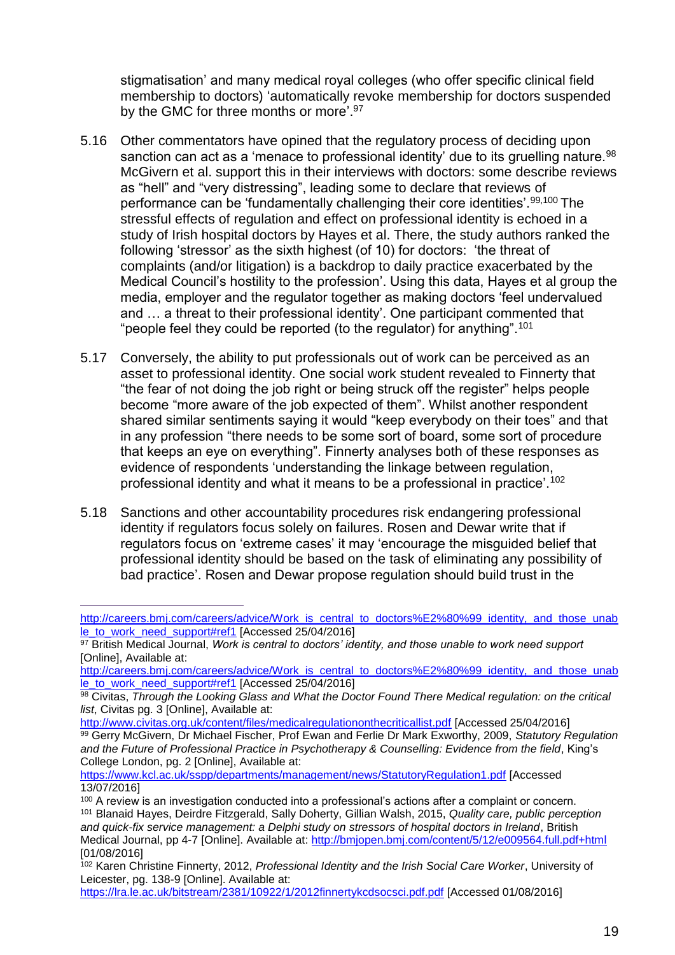stigmatisation' and many medical royal colleges (who offer specific clinical field membership to doctors) 'automatically revoke membership for doctors suspended by the GMC for three months or more'.<sup>97</sup>

- 5.16 Other commentators have opined that the regulatory process of deciding upon sanction can act as a 'menace to professional identity' due to its gruelling nature.<sup>98</sup> McGivern et al. support this in their interviews with doctors: some describe reviews as "hell" and "very distressing", leading some to declare that reviews of performance can be 'fundamentally challenging their core identities'.99,100 The stressful effects of regulation and effect on professional identity is echoed in a study of Irish hospital doctors by Hayes et al. There, the study authors ranked the following 'stressor' as the sixth highest (of 10) for doctors: 'the threat of complaints (and/or litigation) is a backdrop to daily practice exacerbated by the Medical Council's hostility to the profession'. Using this data, Hayes et al group the media, employer and the regulator together as making doctors 'feel undervalued and … a threat to their professional identity'. One participant commented that "people feel they could be reported (to the regulator) for anything".<sup>101</sup>
- 5.17 Conversely, the ability to put professionals out of work can be perceived as an asset to professional identity. One social work student revealed to Finnerty that "the fear of not doing the job right or being struck off the register" helps people become "more aware of the job expected of them". Whilst another respondent shared similar sentiments saying it would "keep everybody on their toes" and that in any profession "there needs to be some sort of board, some sort of procedure that keeps an eye on everything". Finnerty analyses both of these responses as evidence of respondents 'understanding the linkage between regulation, professional identity and what it means to be a professional in practice'.<sup>102</sup>
- 5.18 Sanctions and other accountability procedures risk endangering professional identity if regulators focus solely on failures. Rosen and Dewar write that if regulators focus on 'extreme cases' it may 'encourage the misguided belief that professional identity should be based on the task of eliminating any possibility of bad practice'. Rosen and Dewar propose regulation should build trust in the

[http://careers.bmj.com/careers/advice/Work\\_is\\_central\\_to\\_doctors%E2%80%99\\_identity,\\_and\\_those\\_unab](http://careers.bmj.com/careers/advice/Work_is_central_to_doctors%E2%80%99_identity,_and_those_unable_to_work_need_support#ref1) [le\\_to\\_work\\_need\\_support#ref1](http://careers.bmj.com/careers/advice/Work_is_central_to_doctors%E2%80%99_identity,_and_those_unable_to_work_need_support#ref1) [Accessed 25/04/2016]

<sup>97</sup> British Medical Journal, *Work is central to doctors' identity, and those unable to work need support* [Online], Available at:

[http://careers.bmj.com/careers/advice/Work\\_is\\_central\\_to\\_doctors%E2%80%99\\_identity,\\_and\\_those\\_unab](http://careers.bmj.com/careers/advice/Work_is_central_to_doctors%E2%80%99_identity,_and_those_unable_to_work_need_support#ref1) [le\\_to\\_work\\_need\\_support#ref1](http://careers.bmj.com/careers/advice/Work_is_central_to_doctors%E2%80%99_identity,_and_those_unable_to_work_need_support#ref1) [Accessed 25/04/2016]

<sup>98</sup> Civitas, *Through the Looking Glass and What the Doctor Found There Medical regulation: on the critical list*, Civitas pg. 3 [Online], Available at:

<http://www.civitas.org.uk/content/files/medicalregulationonthecriticallist.pdf> [Accessed 25/04/2016] <sup>99</sup> Gerry McGivern, Dr Michael Fischer, Prof Ewan and Ferlie Dr Mark Exworthy, 2009, *Statutory Regulation and the Future of Professional Practice in Psychotherapy & Counselling: Evidence from the field*, King's College London, pg. 2 [Online], Available at:

<https://www.kcl.ac.uk/sspp/departments/management/news/StatutoryRegulation1.pdf> [Accessed 13/07/2016]

<sup>&</sup>lt;sup>100</sup> A review is an investigation conducted into a professional's actions after a complaint or concern. <sup>101</sup> Blanaid Hayes, Deirdre Fitzgerald, Sally Doherty, Gillian Walsh, 2015, *Quality care, public perception and quick-fix service management: a Delphi study on stressors of hospital doctors in Ireland*, British Medical Journal, pp 4-7 [Online]. Available at:<http://bmjopen.bmj.com/content/5/12/e009564.full.pdf+html> [01/08/2016]

<sup>102</sup> Karen Christine Finnerty, 2012, *Professional Identity and the Irish Social Care Worker*, University of Leicester, pg. 138-9 [Online]. Available at:

<https://lra.le.ac.uk/bitstream/2381/10922/1/2012finnertykcdsocsci.pdf.pdf> [Accessed 01/08/2016]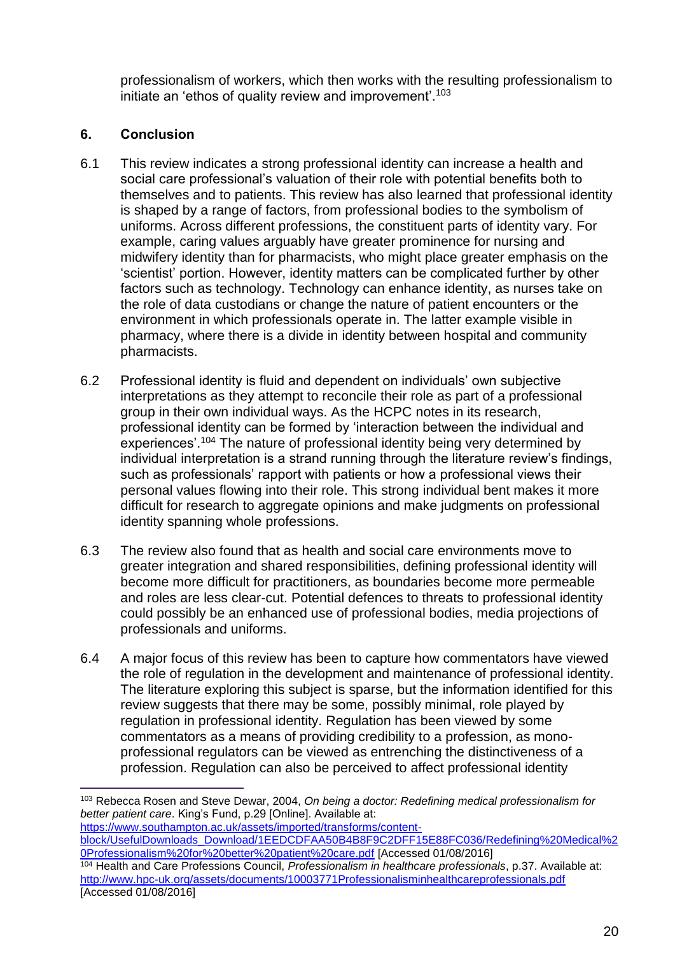professionalism of workers, which then works with the resulting professionalism to initiate an 'ethos of quality review and improvement'.<sup>103</sup>

### **6. Conclusion**

- 6.1 This review indicates a strong professional identity can increase a health and social care professional's valuation of their role with potential benefits both to themselves and to patients. This review has also learned that professional identity is shaped by a range of factors, from professional bodies to the symbolism of uniforms. Across different professions, the constituent parts of identity vary. For example, caring values arguably have greater prominence for nursing and midwifery identity than for pharmacists, who might place greater emphasis on the 'scientist' portion. However, identity matters can be complicated further by other factors such as technology. Technology can enhance identity, as nurses take on the role of data custodians or change the nature of patient encounters or the environment in which professionals operate in. The latter example visible in pharmacy, where there is a divide in identity between hospital and community pharmacists.
- 6.2 Professional identity is fluid and dependent on individuals' own subjective interpretations as they attempt to reconcile their role as part of a professional group in their own individual ways. As the HCPC notes in its research, professional identity can be formed by 'interaction between the individual and experiences'.<sup>104</sup> The nature of professional identity being very determined by individual interpretation is a strand running through the literature review's findings, such as professionals' rapport with patients or how a professional views their personal values flowing into their role. This strong individual bent makes it more difficult for research to aggregate opinions and make judgments on professional identity spanning whole professions.
- 6.3 The review also found that as health and social care environments move to greater integration and shared responsibilities, defining professional identity will become more difficult for practitioners, as boundaries become more permeable and roles are less clear-cut. Potential defences to threats to professional identity could possibly be an enhanced use of professional bodies, media projections of professionals and uniforms.
- 6.4 A major focus of this review has been to capture how commentators have viewed the role of regulation in the development and maintenance of professional identity. The literature exploring this subject is sparse, but the information identified for this review suggests that there may be some, possibly minimal, role played by regulation in professional identity. Regulation has been viewed by some commentators as a means of providing credibility to a profession, as monoprofessional regulators can be viewed as entrenching the distinctiveness of a profession. Regulation can also be perceived to affect professional identity

[https://www.southampton.ac.uk/assets/imported/transforms/content-](https://www.southampton.ac.uk/assets/imported/transforms/content-block/UsefulDownloads_Download/1EEDCDFAA50B4B8F9C2DFF15E88FC036/Redefining%20Medical%20Professionalism%20for%20better%20patient%20care.pdf)

[block/UsefulDownloads\\_Download/1EEDCDFAA50B4B8F9C2DFF15E88FC036/Redefining%20Medical%2](https://www.southampton.ac.uk/assets/imported/transforms/content-block/UsefulDownloads_Download/1EEDCDFAA50B4B8F9C2DFF15E88FC036/Redefining%20Medical%20Professionalism%20for%20better%20patient%20care.pdf) [0Professionalism%20for%20better%20patient%20care.pdf](https://www.southampton.ac.uk/assets/imported/transforms/content-block/UsefulDownloads_Download/1EEDCDFAA50B4B8F9C2DFF15E88FC036/Redefining%20Medical%20Professionalism%20for%20better%20patient%20care.pdf) [Accessed 01/08/2016]

 $\overline{a}$ <sup>103</sup> Rebecca Rosen and Steve Dewar, 2004, *On being a doctor: Redefining medical professionalism for better patient care*. King's Fund, p.29 [Online]. Available at:

<sup>104</sup> Health and Care Professions Council, *Professionalism in healthcare professionals*, p.37. Available at: <http://www.hpc-uk.org/assets/documents/10003771Professionalisminhealthcareprofessionals.pdf> [Accessed 01/08/2016]